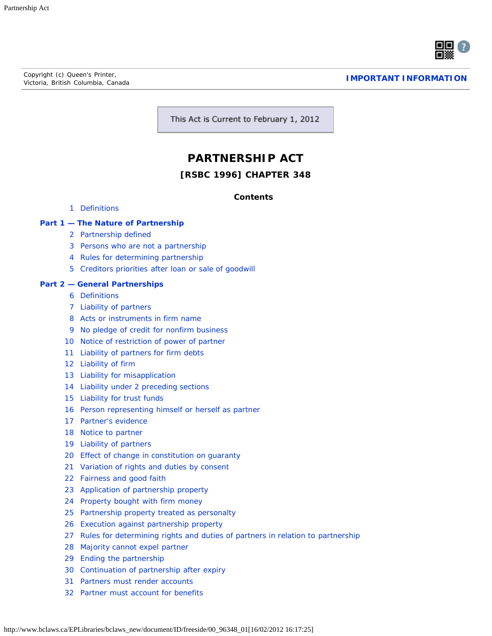Copyright (c) Queen's Printer, Victoria, British Columbia, Canada **[IMPORTANT INFORMATION](http://www.bclaws.ca/Recon/document/ID/freeside/info)**



This Act is Current to February 1, 2012

## **PARTNERSHIP ACT**

#### **[RSBC 1996] CHAPTER 348**

*Contents*

[Definitions](#page-3-0)

#### **Part 1 — [The Nature of Partnership](#page-3-1)**

- [Partnership defined](#page-3-2)
- [Persons who are not a partnership](#page-4-0)
- [Rules for determining partnership](#page-5-0)
- [Creditors priorities after loan or sale of goodwill](#page-5-1)

#### **Part 2 — [General Partnerships](#page-5-2)**

- [Definitions](#page-5-3)
- [Liability of partners](#page-5-4)
- [Acts or instruments in firm name](#page-6-0)
- [No pledge of credit for nonfirm business](#page-6-1)
- [Notice of restriction of power of partner](#page-6-2)
- [Liability of partners for firm debts](#page-6-3)
- [Liability of firm](#page-6-4)
- [Liability for misapplication](#page-6-5)
- [Liability under 2 preceding sections](#page-6-6)
- [Liability for trust funds](#page-7-0)
- [Person representing himself or herself as partner](#page-7-1)
- [Partner's evidence](#page-7-2)
- [Notice to partner](#page-7-3)
- [Liability of partners](#page-7-4)
- [Effect of change in constitution on guaranty](#page-8-0)
- [Variation of rights and duties by consent](#page-8-1)
- [Fairness and good faith](#page-8-2)
- [Application of partnership property](#page-8-3)
- [Property bought with firm money](#page-8-4)
- [Partnership property treated as personalty](#page-8-5)
- [Execution against partnership property](#page-9-0)
- [Rules for determining rights and duties of partners in relation to partnership](#page-10-0)
- [Majority cannot expel partner](#page-10-1)
- [Ending the partnership](#page-10-2)
- [Continuation of partnership after expiry](#page-10-3)
- [Partners must render accounts](#page-10-4)
- [Partner must account for benefits](#page-11-0)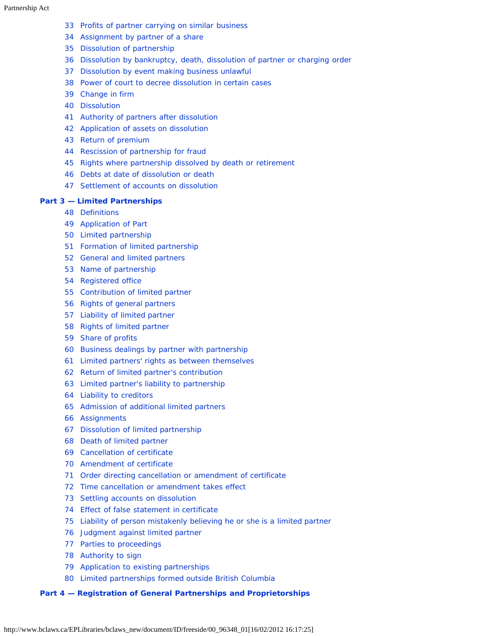- [Profits of partner carrying on similar business](#page-11-1)
- [Assignment by partner of a share](#page-11-2)
- [Dissolution of partnership](#page-11-3)
- [Dissolution by bankruptcy, death, dissolution of partner or charging order](#page-12-0)
- [Dissolution by event making business unlawful](#page-12-1)
- [Power of court to decree dissolution in certain cases](#page-12-2)
- [Change in firm](#page-13-0)
- [Dissolution](#page-13-1)
- [Authority of partners after dissolution](#page-13-2)
- [Application of assets on dissolution](#page-13-3)
- [Return of premium](#page-14-0)
- [Rescission of partnership for fraud](#page-14-1)
- [Rights where partnership dissolved by death or retirement](#page-14-2)
- [Debts at date of dissolution or death](#page-14-3)
- [Settlement of accounts on dissolution](#page-15-0)

#### **Part 3 — [Limited Partnerships](#page-15-1)**

- [Definitions](#page-15-2)
- [Application of Part](#page-15-3)
- [Limited partnership](#page-16-0)
- [Formation of limited partnership](#page-16-1)
- [General and limited partners](#page-17-0)
- [Name of partnership](#page-17-1)
- [Registered office](#page-18-0)
- [Contribution of limited partner](#page-18-1)
- [Rights of general partners](#page-18-2)
- [Liability of limited partner](#page-18-3)
- [Rights of limited partner](#page-19-0)
- [Share of profits](#page-19-1)
- [Business dealings by partner with partnership](#page-19-2)
- [Limited partners' rights as between themselves](#page-20-0)
- [Return of limited partner's contribution](#page-20-1)
- [Limited partner's liability to partnership](#page-21-0)
- [Liability to creditors](#page-21-1)
- [Admission of additional limited partners](#page-21-2)
- [Assignments](#page-22-0)
- [Dissolution of limited partnership](#page-22-1)
- [Death of limited partner](#page-22-2)
- [Cancellation of certificate](#page-23-0)
- [Amendment of certificate](#page-23-1)
- [Order directing cancellation or amendment of certificate](#page-23-2)
- [Time cancellation or amendment takes effect](#page-24-0)
- [Settling accounts on dissolution](#page-24-1)
- [Effect of false statement in certificate](#page-24-2)
- [Liability of person mistakenly believing he or she is a limited partner](#page-25-0)
- [Judgment against limited partner](#page-25-1)
- [Parties to proceedings](#page-25-2)
- [Authority to sign](#page-25-3)
- [Application to existing partnerships](#page-26-0)
- [Limited partnerships formed outside British Columbia](#page-26-1)

#### **Part 4 — [Registration of General Partnerships and Proprietorships](#page-26-2)**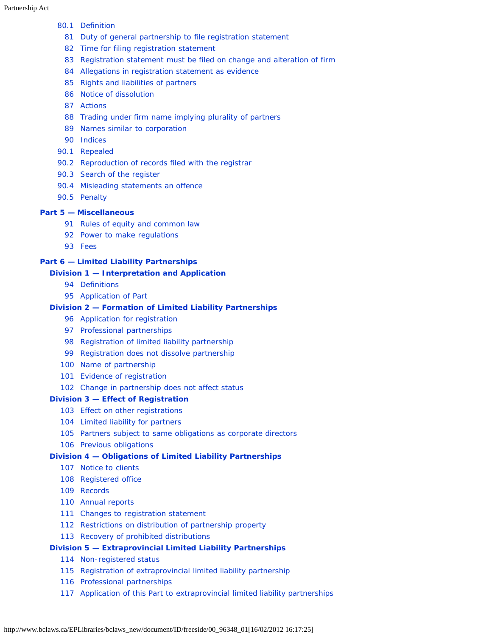#### [80.1](#page-26-3) [Definition](#page-26-3)

- [Duty of general partnership to file registration statement](#page-27-0)
- [Time for filing registration statement](#page-27-1)
- [Registration statement must be filed on change and alteration of firm](#page-27-2)
- [Allegations in registration statement as evidence](#page-27-3)
- [Rights and liabilities of partners](#page-28-0)
- [Notice of dissolution](#page-28-1)
- [Actions](#page-28-2)
- [Trading under firm name implying plurality of partners](#page-28-3)
- [Names similar to corporation](#page-29-0)
- [Indices](#page-29-1)
- [90.1](#page-29-2) [Repealed](#page-29-2)
- [90.2](#page-30-0) [Reproduction of records filed with the registrar](#page-30-0)
- [90.3](#page-30-1) [Search of the register](#page-30-1)
- [90.4](#page-31-0) [Misleading statements an offence](#page-31-0)
- [90.5](#page-31-1) [Penalty](#page-31-1)

#### **Part 5 — [Miscellaneous](#page-31-2)**

- [Rules of equity and common law](#page-31-3)
- [Power to make regulations](#page-32-0)
- [Fees](#page-33-0)

#### **Part 6 — [Limited Liability Partnerships](#page-33-1)**

#### **Division 1 — [Interpretation and Application](#page-33-2)**

- [Definitions](#page-34-0)
- [Application of Part](#page-34-1)

#### **Division 2 — [Formation of Limited Liability Partnerships](#page-34-2)**

- [Application for registration](#page-35-0)
- [Professional partnerships](#page-35-1)
- [Registration of limited liability partnership](#page-35-2)
- [Registration does not dissolve partnership](#page-35-3)
- [Name of partnership](#page-36-0)
- [Evidence of registration](#page-36-1)
- [Change in partnership does not affect status](#page-36-2)

#### **Division 3 — [Effect of Registration](#page-36-3)**

- [Effect on other registrations](#page-36-4)
- [Limited liability for partners](#page-37-0)
- [Partners subject to same obligations as corporate directors](#page-37-1)
- [Previous obligations](#page-37-2)

#### **Division 4 — [Obligations of Limited Liability Partnerships](#page-37-3)**

- [Notice to clients](#page-37-4)
- [Registered office](#page-38-0)
- [Records](#page-38-1)
- [Annual reports](#page-38-2)
- [Changes to registration statement](#page-38-3)
- [Restrictions on distribution of partnership property](#page-39-0)
- [Recovery of prohibited distributions](#page-39-1)

#### **Division 5 — [Extraprovincial Limited Liability Partnerships](#page-39-2)**

- [Non-registered status](#page-40-0)
- [Registration of extraprovincial limited liability partnership](#page-41-0)
- [Professional partnerships](#page-41-1)
- [Application of this Part to extraprovincial limited liability partnerships](#page-41-2)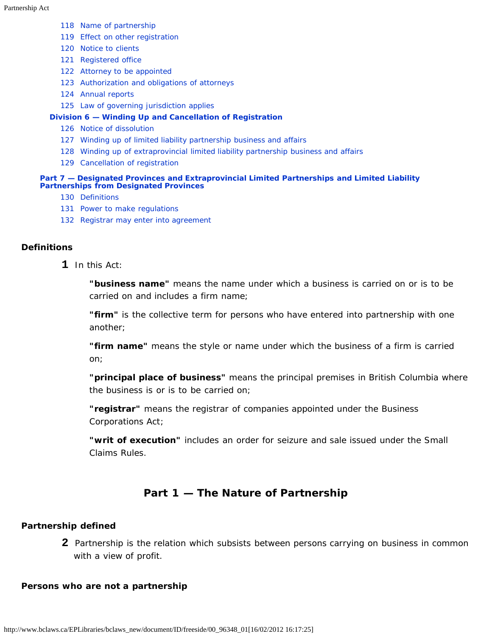- [118](#page-41-3) [Name of partnership](#page-41-3)
- [119](#page-41-4) [Effect on other registration](#page-41-4)
- [120](#page-42-0) [Notice to clients](#page-42-0)
- [121](#page-42-1) [Registered office](#page-42-1)
- [122](#page-42-2) [Attorney to be appointed](#page-42-2)
- [123](#page-43-0) [Authorization and obligations of attorneys](#page-43-0)
- [124](#page-43-1) [Annual reports](#page-43-1)
- [125](#page-44-0) [Law of governing jurisdiction applies](#page-44-0)

#### **Division 6 — [Winding Up and Cancellation of Registration](#page-44-1)**

- [126](#page-44-2) [Notice of dissolution](#page-44-2)
- [127](#page-44-3) [Winding up of limited liability partnership business and affairs](#page-44-3)
- [128](#page-44-4) [Winding up of extraprovincial limited liability partnership business and affairs](#page-44-4)
- [129](#page-46-0) [Cancellation of registration](#page-46-0)

#### **Part 7 — [Designated Provinces and Extraprovincial Limited Partnerships and Limited Liability](#page-46-1) [Partnerships from Designated Provinces](#page-46-1)**

- [130](#page-46-2) [Definitions](#page-46-2)
- [131](#page-48-0) [Power to make regulations](#page-48-0)
- [132](#page-48-1) [Registrar may enter into agreement](#page-48-1)

#### **Definitions**

**1** In this Act:

**"business name"** means the name under which a business is carried on or is to be carried on and includes a firm name;

**"firm"** is the collective term for persons who have entered into partnership with one another;

**"firm name"** means the style or name under which the business of a firm is carried on;

**"principal place of business"** means the principal premises in British Columbia where the business is or is to be carried on;

**"registrar"** means the registrar of companies appointed under the *Business Corporations Act*;

**"writ of execution"** includes an order for seizure and sale issued under the Small Claims Rules.

## **Part 1 — The Nature of Partnership**

#### <span id="page-3-1"></span><span id="page-3-0"></span>**Partnership defined**

**2** Partnership is the relation which subsists between persons carrying on business in common with a view of profit.

#### <span id="page-3-2"></span>**Persons who are not a partnership**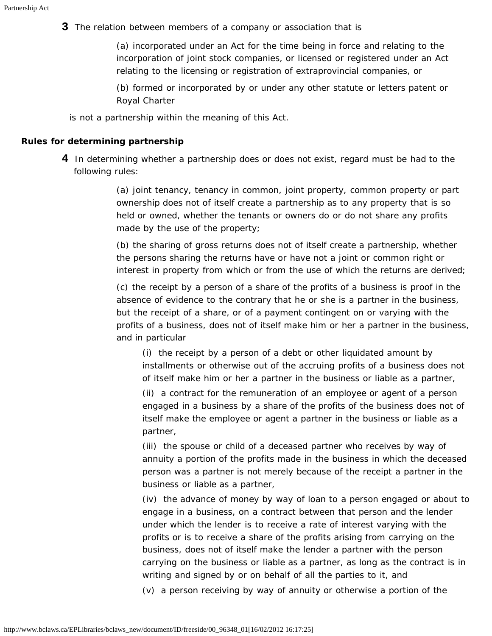**3** The relation between members of a company or association that is

(a) incorporated under an Act for the time being in force and relating to the incorporation of joint stock companies, or licensed or registered under an Act relating to the licensing or registration of extraprovincial companies, or

(b) formed or incorporated by or under any other statute or letters patent or Royal Charter

is not a partnership within the meaning of this Act.

#### <span id="page-4-0"></span>**Rules for determining partnership**

**4** In determining whether a partnership does or does not exist, regard must be had to the following rules:

> (a) joint tenancy, tenancy in common, joint property, common property or part ownership does not of itself create a partnership as to any property that is so held or owned, whether the tenants or owners do or do not share any profits made by the use of the property;

(b) the sharing of gross returns does not of itself create a partnership, whether the persons sharing the returns have or have not a joint or common right or interest in property from which or from the use of which the returns are derived;

(c) the receipt by a person of a share of the profits of a business is proof in the absence of evidence to the contrary that he or she is a partner in the business, but the receipt of a share, or of a payment contingent on or varying with the profits of a business, does not of itself make him or her a partner in the business, and in particular

(i) the receipt by a person of a debt or other liquidated amount by installments or otherwise out of the accruing profits of a business does not of itself make him or her a partner in the business or liable as a partner,

(ii) a contract for the remuneration of an employee or agent of a person engaged in a business by a share of the profits of the business does not of itself make the employee or agent a partner in the business or liable as a partner,

(iii) the spouse or child of a deceased partner who receives by way of annuity a portion of the profits made in the business in which the deceased person was a partner is not merely because of the receipt a partner in the business or liable as a partner,

(iv) the advance of money by way of loan to a person engaged or about to engage in a business, on a contract between that person and the lender under which the lender is to receive a rate of interest varying with the profits or is to receive a share of the profits arising from carrying on the business, does not of itself make the lender a partner with the person carrying on the business or liable as a partner, as long as the contract is in writing and signed by or on behalf of all the parties to it, and

(v) a person receiving by way of annuity or otherwise a portion of the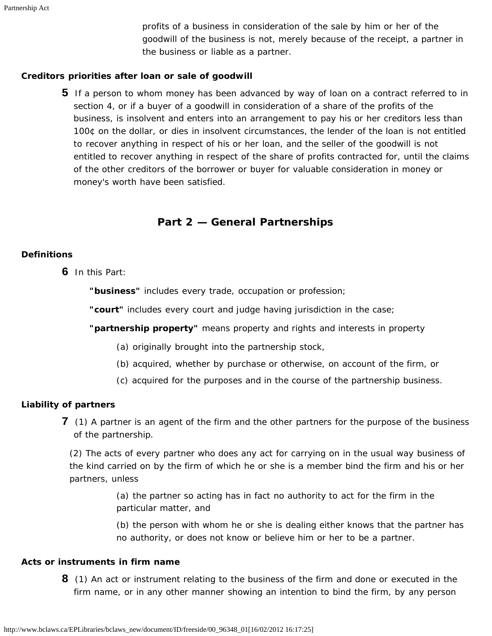profits of a business in consideration of the sale by him or her of the goodwill of the business is not, merely because of the receipt, a partner in the business or liable as a partner.

#### <span id="page-5-0"></span>**Creditors priorities after loan or sale of goodwill**

**5** If a person to whom money has been advanced by way of loan on a contract referred to in section 4, or if a buyer of a goodwill in consideration of a share of the profits of the business, is insolvent and enters into an arrangement to pay his or her creditors less than 100¢ on the dollar, or dies in insolvent circumstances, the lender of the loan is not entitled to recover anything in respect of his or her loan, and the seller of the goodwill is not entitled to recover anything in respect of the share of profits contracted for, until the claims of the other creditors of the borrower or buyer for valuable consideration in money or money's worth have been satisfied.

## **Part 2 — General Partnerships**

#### <span id="page-5-2"></span><span id="page-5-1"></span>**Definitions**

**6** In this Part:

**"business"** includes every trade, occupation or profession;

**"court"** includes every court and judge having jurisdiction in the case;

**"partnership property"** means property and rights and interests in property

- (a) originally brought into the partnership stock,
- (b) acquired, whether by purchase or otherwise, on account of the firm, or
- (c) acquired for the purposes and in the course of the partnership business.

#### <span id="page-5-3"></span>**Liability of partners**

**7** (1) A partner is an agent of the firm and the other partners for the purpose of the business of the partnership.

(2) The acts of every partner who does any act for carrying on in the usual way business of the kind carried on by the firm of which he or she is a member bind the firm and his or her partners, unless

> (a) the partner so acting has in fact no authority to act for the firm in the particular matter, and

(b) the person with whom he or she is dealing either knows that the partner has no authority, or does not know or believe him or her to be a partner.

#### <span id="page-5-4"></span>**Acts or instruments in firm name**

**8** (1) An act or instrument relating to the business of the firm and done or executed in the firm name, or in any other manner showing an intention to bind the firm, by any person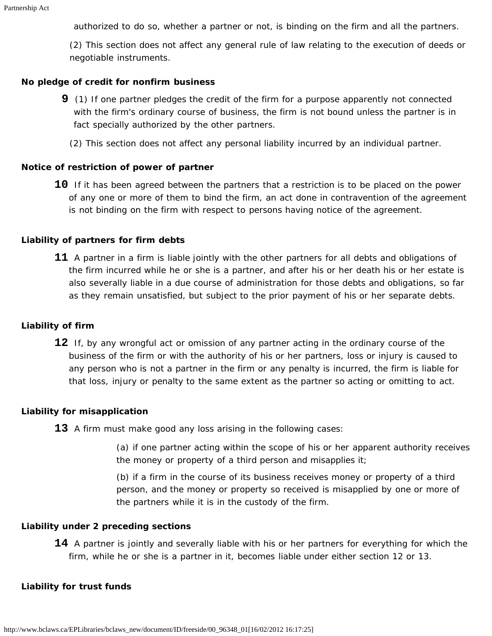authorized to do so, whether a partner or not, is binding on the firm and all the partners.

(2) This section does not affect any general rule of law relating to the execution of deeds or negotiable instruments.

#### <span id="page-6-0"></span>**No pledge of credit for nonfirm business**

- **9** (1) If one partner pledges the credit of the firm for a purpose apparently not connected with the firm's ordinary course of business, the firm is not bound unless the partner is in fact specially authorized by the other partners.
	- (2) This section does not affect any personal liability incurred by an individual partner.

#### <span id="page-6-1"></span>**Notice of restriction of power of partner**

**10** If it has been agreed between the partners that a restriction is to be placed on the power of any one or more of them to bind the firm, an act done in contravention of the agreement is not binding on the firm with respect to persons having notice of the agreement.

#### <span id="page-6-2"></span>**Liability of partners for firm debts**

**11** A partner in a firm is liable jointly with the other partners for all debts and obligations of the firm incurred while he or she is a partner, and after his or her death his or her estate is also severally liable in a due course of administration for those debts and obligations, so far as they remain unsatisfied, but subject to the prior payment of his or her separate debts.

#### <span id="page-6-3"></span>**Liability of firm**

**12** If, by any wrongful act or omission of any partner acting in the ordinary course of the business of the firm or with the authority of his or her partners, loss or injury is caused to any person who is not a partner in the firm or any penalty is incurred, the firm is liable for that loss, injury or penalty to the same extent as the partner so acting or omitting to act.

#### <span id="page-6-4"></span>**Liability for misapplication**

**13** A firm must make good any loss arising in the following cases:

(a) if one partner acting within the scope of his or her apparent authority receives the money or property of a third person and misapplies it;

(b) if a firm in the course of its business receives money or property of a third person, and the money or property so received is misapplied by one or more of the partners while it is in the custody of the firm.

#### <span id="page-6-5"></span>**Liability under 2 preceding sections**

**14** A partner is jointly and severally liable with his or her partners for everything for which the firm, while he or she is a partner in it, becomes liable under either section 12 or 13.

#### <span id="page-6-6"></span>**Liability for trust funds**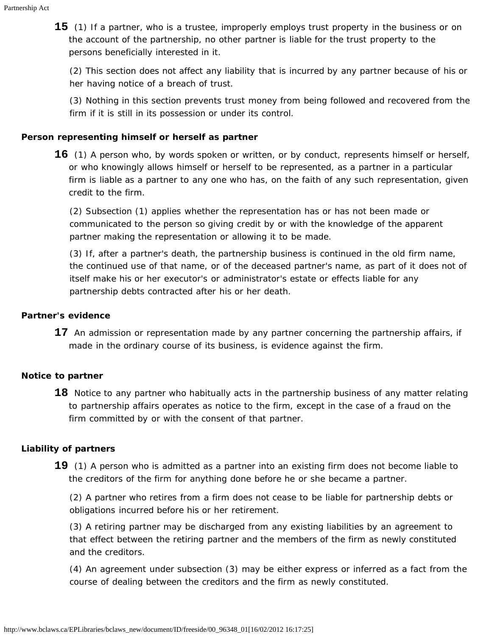**15** (1) If a partner, who is a trustee, improperly employs trust property in the business or on the account of the partnership, no other partner is liable for the trust property to the persons beneficially interested in it.

(2) This section does not affect any liability that is incurred by any partner because of his or her having notice of a breach of trust.

(3) Nothing in this section prevents trust money from being followed and recovered from the firm if it is still in its possession or under its control.

#### <span id="page-7-0"></span>**Person representing himself or herself as partner**

**16** (1) A person who, by words spoken or written, or by conduct, represents himself or herself, or who knowingly allows himself or herself to be represented, as a partner in a particular firm is liable as a partner to any one who has, on the faith of any such representation, given credit to the firm.

(2) Subsection (1) applies whether the representation has or has not been made or communicated to the person so giving credit by or with the knowledge of the apparent partner making the representation or allowing it to be made.

(3) If, after a partner's death, the partnership business is continued in the old firm name, the continued use of that name, or of the deceased partner's name, as part of it does not of itself make his or her executor's or administrator's estate or effects liable for any partnership debts contracted after his or her death.

#### <span id="page-7-1"></span>**Partner's evidence**

**17** An admission or representation made by any partner concerning the partnership affairs, if made in the ordinary course of its business, is evidence against the firm.

### <span id="page-7-2"></span>**Notice to partner**

18 Notice to any partner who habitually acts in the partnership business of any matter relating to partnership affairs operates as notice to the firm, except in the case of a fraud on the firm committed by or with the consent of that partner.

### <span id="page-7-3"></span>**Liability of partners**

**19** (1) A person who is admitted as a partner into an existing firm does not become liable to the creditors of the firm for anything done before he or she became a partner.

(2) A partner who retires from a firm does not cease to be liable for partnership debts or obligations incurred before his or her retirement.

(3) A retiring partner may be discharged from any existing liabilities by an agreement to that effect between the retiring partner and the members of the firm as newly constituted and the creditors.

<span id="page-7-4"></span>(4) An agreement under subsection (3) may be either express or inferred as a fact from the course of dealing between the creditors and the firm as newly constituted.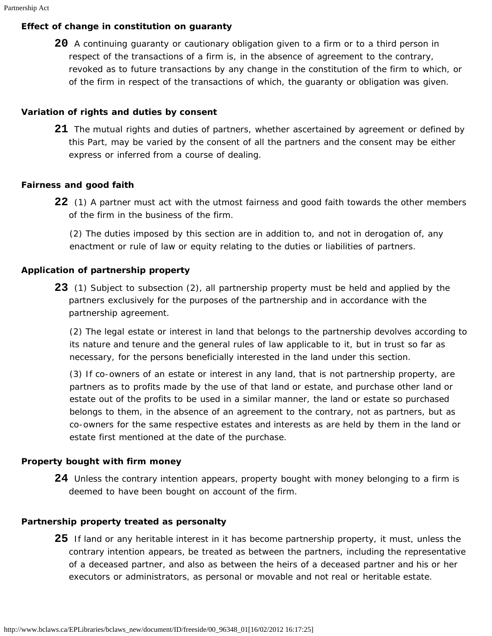## **Effect of change in constitution on guaranty**

**20** A continuing guaranty or cautionary obligation given to a firm or to a third person in respect of the transactions of a firm is, in the absence of agreement to the contrary, revoked as to future transactions by any change in the constitution of the firm to which, or of the firm in respect of the transactions of which, the guaranty or obligation was given.

## <span id="page-8-0"></span>**Variation of rights and duties by consent**

**21** The mutual rights and duties of partners, whether ascertained by agreement or defined by this Part, may be varied by the consent of all the partners and the consent may be either express or inferred from a course of dealing.

## <span id="page-8-1"></span>**Fairness and good faith**

**22** (1) A partner must act with the utmost fairness and good faith towards the other members of the firm in the business of the firm.

(2) The duties imposed by this section are in addition to, and not in derogation of, any enactment or rule of law or equity relating to the duties or liabilities of partners.

## <span id="page-8-2"></span>**Application of partnership property**

**23** (1) Subject to subsection (2), all partnership property must be held and applied by the partners exclusively for the purposes of the partnership and in accordance with the partnership agreement.

(2) The legal estate or interest in land that belongs to the partnership devolves according to its nature and tenure and the general rules of law applicable to it, but in trust so far as necessary, for the persons beneficially interested in the land under this section.

(3) If co-owners of an estate or interest in any land, that is not partnership property, are partners as to profits made by the use of that land or estate, and purchase other land or estate out of the profits to be used in a similar manner, the land or estate so purchased belongs to them, in the absence of an agreement to the contrary, not as partners, but as co-owners for the same respective estates and interests as are held by them in the land or estate first mentioned at the date of the purchase.

## <span id="page-8-3"></span>**Property bought with firm money**

**24** Unless the contrary intention appears, property bought with money belonging to a firm is deemed to have been bought on account of the firm.

## <span id="page-8-5"></span><span id="page-8-4"></span>**Partnership property treated as personalty**

**25** If land or any heritable interest in it has become partnership property, it must, unless the contrary intention appears, be treated as between the partners, including the representative of a deceased partner, and also as between the heirs of a deceased partner and his or her executors or administrators, as personal or movable and not real or heritable estate.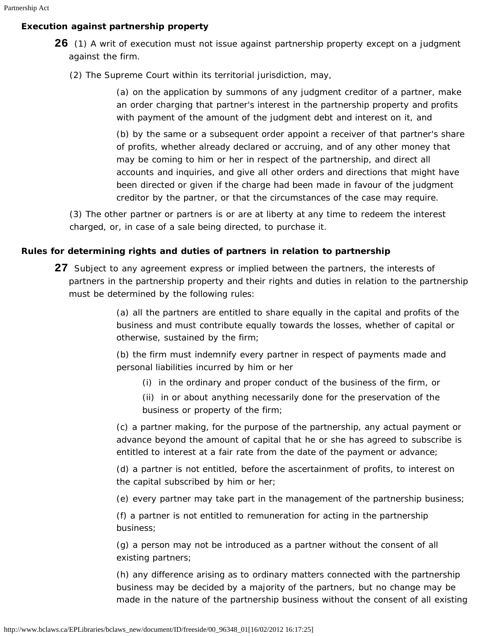## **Execution against partnership property**

- **26** (1) A writ of execution must not issue against partnership property except on a judgment against the firm.
	- (2) The Supreme Court within its territorial jurisdiction, may,

(a) on the application by summons of any judgment creditor of a partner, make an order charging that partner's interest in the partnership property and profits with payment of the amount of the judgment debt and interest on it, and

(b) by the same or a subsequent order appoint a receiver of that partner's share of profits, whether already declared or accruing, and of any other money that may be coming to him or her in respect of the partnership, and direct all accounts and inquiries, and give all other orders and directions that might have been directed or given if the charge had been made in favour of the judgment creditor by the partner, or that the circumstances of the case may require.

(3) The other partner or partners is or are at liberty at any time to redeem the interest charged, or, in case of a sale being directed, to purchase it.

### <span id="page-9-0"></span>**Rules for determining rights and duties of partners in relation to partnership**

**27** Subject to any agreement express or implied between the partners, the interests of partners in the partnership property and their rights and duties in relation to the partnership must be determined by the following rules:

> (a) all the partners are entitled to share equally in the capital and profits of the business and must contribute equally towards the losses, whether of capital or otherwise, sustained by the firm;

(b) the firm must indemnify every partner in respect of payments made and personal liabilities incurred by him or her

- (i) in the ordinary and proper conduct of the business of the firm, or
- (ii) in or about anything necessarily done for the preservation of the business or property of the firm;

(c) a partner making, for the purpose of the partnership, any actual payment or advance beyond the amount of capital that he or she has agreed to subscribe is entitled to interest at a fair rate from the date of the payment or advance;

(d) a partner is not entitled, before the ascertainment of profits, to interest on the capital subscribed by him or her;

(e) every partner may take part in the management of the partnership business;

(f) a partner is not entitled to remuneration for acting in the partnership business;

(g) a person may not be introduced as a partner without the consent of all existing partners;

(h) any difference arising as to ordinary matters connected with the partnership business may be decided by a majority of the partners, but no change may be made in the nature of the partnership business without the consent of all existing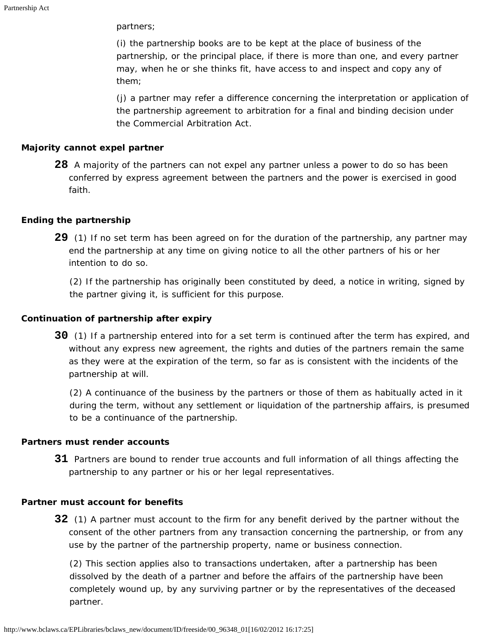partners;

(i) the partnership books are to be kept at the place of business of the partnership, or the principal place, if there is more than one, and every partner may, when he or she thinks fit, have access to and inspect and copy any of them;

(j) a partner may refer a difference concerning the interpretation or application of the partnership agreement to arbitration for a final and binding decision under the *Commercial Arbitration Act*.

#### <span id="page-10-0"></span>**Majority cannot expel partner**

**28** A majority of the partners can not expel any partner unless a power to do so has been conferred by express agreement between the partners and the power is exercised in good faith.

#### <span id="page-10-1"></span>**Ending the partnership**

**29** (1) If no set term has been agreed on for the duration of the partnership, any partner may end the partnership at any time on giving notice to all the other partners of his or her intention to do so.

(2) If the partnership has originally been constituted by deed, a notice in writing, signed by the partner giving it, is sufficient for this purpose.

#### <span id="page-10-2"></span>**Continuation of partnership after expiry**

**30** (1) If a partnership entered into for a set term is continued after the term has expired, and without any express new agreement, the rights and duties of the partners remain the same as they were at the expiration of the term, so far as is consistent with the incidents of the partnership at will.

(2) A continuance of the business by the partners or those of them as habitually acted in it during the term, without any settlement or liquidation of the partnership affairs, is presumed to be a continuance of the partnership.

#### <span id="page-10-3"></span>**Partners must render accounts**

**31** Partners are bound to render true accounts and full information of all things affecting the partnership to any partner or his or her legal representatives.

#### <span id="page-10-4"></span>**Partner must account for benefits**

**32** (1) A partner must account to the firm for any benefit derived by the partner without the consent of the other partners from any transaction concerning the partnership, or from any use by the partner of the partnership property, name or business connection.

(2) This section applies also to transactions undertaken, after a partnership has been dissolved by the death of a partner and before the affairs of the partnership have been completely wound up, by any surviving partner or by the representatives of the deceased partner.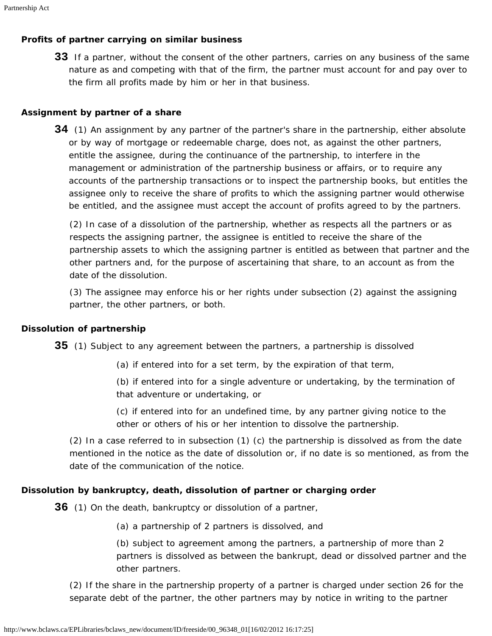## <span id="page-11-0"></span>**Profits of partner carrying on similar business**

**33** If a partner, without the consent of the other partners, carries on any business of the same nature as and competing with that of the firm, the partner must account for and pay over to the firm all profits made by him or her in that business.

#### <span id="page-11-1"></span>**Assignment by partner of a share**

**34** (1) An assignment by any partner of the partner's share in the partnership, either absolute or by way of mortgage or redeemable charge, does not, as against the other partners, entitle the assignee, during the continuance of the partnership, to interfere in the management or administration of the partnership business or affairs, or to require any accounts of the partnership transactions or to inspect the partnership books, but entitles the assignee only to receive the share of profits to which the assigning partner would otherwise be entitled, and the assignee must accept the account of profits agreed to by the partners.

(2) In case of a dissolution of the partnership, whether as respects all the partners or as respects the assigning partner, the assignee is entitled to receive the share of the partnership assets to which the assigning partner is entitled as between that partner and the other partners and, for the purpose of ascertaining that share, to an account as from the date of the dissolution.

(3) The assignee may enforce his or her rights under subsection (2) against the assigning partner, the other partners, or both.

### <span id="page-11-2"></span>**Dissolution of partnership**

**35** (1) Subject to any agreement between the partners, a partnership is dissolved

(a) if entered into for a set term, by the expiration of that term,

(b) if entered into for a single adventure or undertaking, by the termination of that adventure or undertaking, or

(c) if entered into for an undefined time, by any partner giving notice to the other or others of his or her intention to dissolve the partnership.

(2) In a case referred to in subsection (1) (c) the partnership is dissolved as from the date mentioned in the notice as the date of dissolution or, if no date is so mentioned, as from the date of the communication of the notice.

### <span id="page-11-3"></span>**Dissolution by bankruptcy, death, dissolution of partner or charging order**

**36** (1) On the death, bankruptcy or dissolution of a partner,

(a) a partnership of 2 partners is dissolved, and

(b) subject to agreement among the partners, a partnership of more than 2 partners is dissolved as between the bankrupt, dead or dissolved partner and the other partners.

(2) If the share in the partnership property of a partner is charged under section 26 for the separate debt of the partner, the other partners may by notice in writing to the partner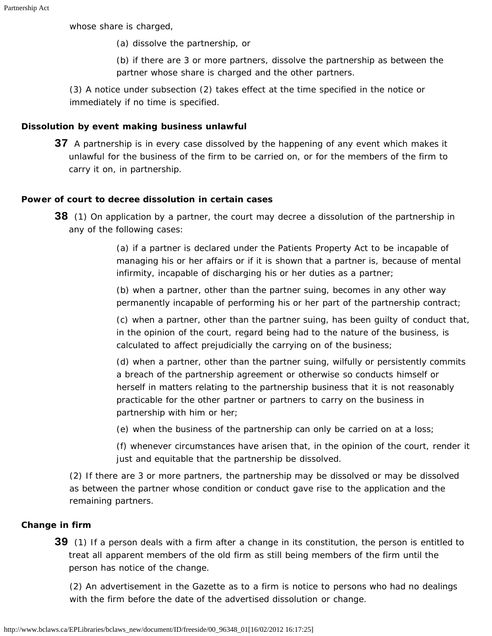whose share is charged,

(a) dissolve the partnership, or

(b) if there are 3 or more partners, dissolve the partnership as between the partner whose share is charged and the other partners.

(3) A notice under subsection (2) takes effect at the time specified in the notice or immediately if no time is specified.

### <span id="page-12-0"></span>**Dissolution by event making business unlawful**

**37** A partnership is in every case dissolved by the happening of any event which makes it unlawful for the business of the firm to be carried on, or for the members of the firm to carry it on, in partnership.

### <span id="page-12-1"></span>**Power of court to decree dissolution in certain cases**

**38** (1) On application by a partner, the court may decree a dissolution of the partnership in any of the following cases:

> (a) if a partner is declared under the *Patients Property Act* to be incapable of managing his or her affairs or if it is shown that a partner is, because of mental infirmity, incapable of discharging his or her duties as a partner;

> (b) when a partner, other than the partner suing, becomes in any other way permanently incapable of performing his or her part of the partnership contract;

(c) when a partner, other than the partner suing, has been guilty of conduct that, in the opinion of the court, regard being had to the nature of the business, is calculated to affect prejudicially the carrying on of the business;

(d) when a partner, other than the partner suing, wilfully or persistently commits a breach of the partnership agreement or otherwise so conducts himself or herself in matters relating to the partnership business that it is not reasonably practicable for the other partner or partners to carry on the business in partnership with him or her;

(e) when the business of the partnership can only be carried on at a loss;

(f) whenever circumstances have arisen that, in the opinion of the court, render it just and equitable that the partnership be dissolved.

(2) If there are 3 or more partners, the partnership may be dissolved or may be dissolved as between the partner whose condition or conduct gave rise to the application and the remaining partners.

### <span id="page-12-2"></span>**Change in firm**

**39** (1) If a person deals with a firm after a change in its constitution, the person is entitled to treat all apparent members of the old firm as still being members of the firm until the person has notice of the change.

(2) An advertisement in the Gazette as to a firm is notice to persons who had no dealings with the firm before the date of the advertised dissolution or change.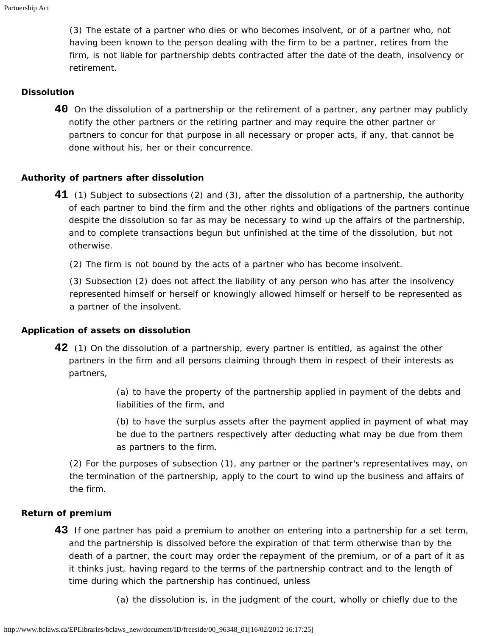(3) The estate of a partner who dies or who becomes insolvent, or of a partner who, not having been known to the person dealing with the firm to be a partner, retires from the firm, is not liable for partnership debts contracted after the date of the death, insolvency or retirement.

#### <span id="page-13-0"></span>**Dissolution**

**40** On the dissolution of a partnership or the retirement of a partner, any partner may publicly notify the other partners or the retiring partner and may require the other partner or partners to concur for that purpose in all necessary or proper acts, if any, that cannot be done without his, her or their concurrence.

#### <span id="page-13-1"></span>**Authority of partners after dissolution**

- **41** (1) Subject to subsections (2) and (3), after the dissolution of a partnership, the authority of each partner to bind the firm and the other rights and obligations of the partners continue despite the dissolution so far as may be necessary to wind up the affairs of the partnership, and to complete transactions begun but unfinished at the time of the dissolution, but not otherwise.
	- (2) The firm is not bound by the acts of a partner who has become insolvent.

(3) Subsection (2) does not affect the liability of any person who has after the insolvency represented himself or herself or knowingly allowed himself or herself to be represented as a partner of the insolvent.

#### <span id="page-13-2"></span>**Application of assets on dissolution**

**42** (1) On the dissolution of a partnership, every partner is entitled, as against the other partners in the firm and all persons claiming through them in respect of their interests as partners,

> (a) to have the property of the partnership applied in payment of the debts and liabilities of the firm, and

(b) to have the surplus assets after the payment applied in payment of what may be due to the partners respectively after deducting what may be due from them as partners to the firm.

(2) For the purposes of subsection (1), any partner or the partner's representatives may, on the termination of the partnership, apply to the court to wind up the business and affairs of the firm.

#### <span id="page-13-3"></span>**Return of premium**

- **43** If one partner has paid a premium to another on entering into a partnership for a set term, and the partnership is dissolved before the expiration of that term otherwise than by the death of a partner, the court may order the repayment of the premium, or of a part of it as it thinks just, having regard to the terms of the partnership contract and to the length of time during which the partnership has continued, unless
	- (a) the dissolution is, in the judgment of the court, wholly or chiefly due to the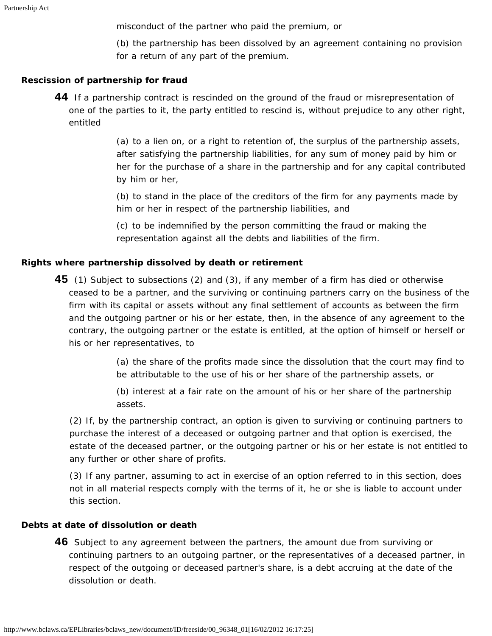misconduct of the partner who paid the premium, or

(b) the partnership has been dissolved by an agreement containing no provision for a return of any part of the premium.

#### <span id="page-14-0"></span>**Rescission of partnership for fraud**

**44** If a partnership contract is rescinded on the ground of the fraud or misrepresentation of one of the parties to it, the party entitled to rescind is, without prejudice to any other right, entitled

> (a) to a lien on, or a right to retention of, the surplus of the partnership assets, after satisfying the partnership liabilities, for any sum of money paid by him or her for the purchase of a share in the partnership and for any capital contributed by him or her,

(b) to stand in the place of the creditors of the firm for any payments made by him or her in respect of the partnership liabilities, and

(c) to be indemnified by the person committing the fraud or making the representation against all the debts and liabilities of the firm.

#### <span id="page-14-1"></span>**Rights where partnership dissolved by death or retirement**

**45** (1) Subject to subsections (2) and (3), if any member of a firm has died or otherwise ceased to be a partner, and the surviving or continuing partners carry on the business of the firm with its capital or assets without any final settlement of accounts as between the firm and the outgoing partner or his or her estate, then, in the absence of any agreement to the contrary, the outgoing partner or the estate is entitled, at the option of himself or herself or his or her representatives, to

> (a) the share of the profits made since the dissolution that the court may find to be attributable to the use of his or her share of the partnership assets, or

(b) interest at a fair rate on the amount of his or her share of the partnership assets.

(2) If, by the partnership contract, an option is given to surviving or continuing partners to purchase the interest of a deceased or outgoing partner and that option is exercised, the estate of the deceased partner, or the outgoing partner or his or her estate is not entitled to any further or other share of profits.

(3) If any partner, assuming to act in exercise of an option referred to in this section, does not in all material respects comply with the terms of it, he or she is liable to account under this section.

#### <span id="page-14-3"></span><span id="page-14-2"></span>**Debts at date of dissolution or death**

**46** Subject to any agreement between the partners, the amount due from surviving or continuing partners to an outgoing partner, or the representatives of a deceased partner, in respect of the outgoing or deceased partner's share, is a debt accruing at the date of the dissolution or death.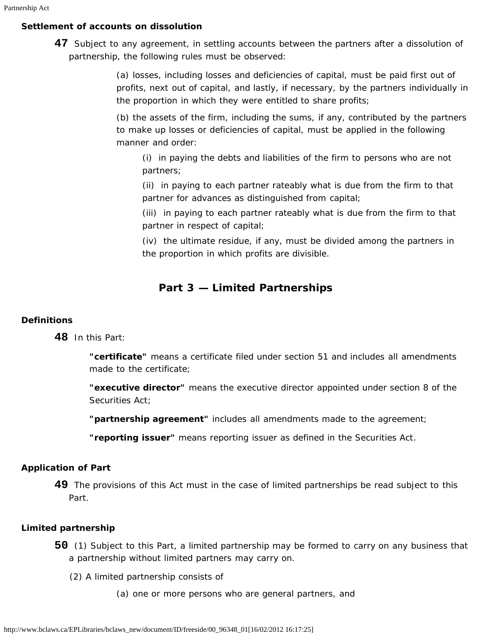## **Settlement of accounts on dissolution**

**47** Subject to any agreement, in settling accounts between the partners after a dissolution of partnership, the following rules must be observed:

> (a) losses, including losses and deficiencies of capital, must be paid first out of profits, next out of capital, and lastly, if necessary, by the partners individually in the proportion in which they were entitled to share profits;

> (b) the assets of the firm, including the sums, if any, contributed by the partners to make up losses or deficiencies of capital, must be applied in the following manner and order:

(i) in paying the debts and liabilities of the firm to persons who are not partners;

(ii) in paying to each partner rateably what is due from the firm to that partner for advances as distinguished from capital;

(iii) in paying to each partner rateably what is due from the firm to that partner in respect of capital;

(iv) the ultimate residue, if any, must be divided among the partners in the proportion in which profits are divisible.

# **Part 3 — Limited Partnerships**

## <span id="page-15-1"></span><span id="page-15-0"></span>**Definitions**

**48** In this Part:

**"certificate"** means a certificate filed under section 51 and includes all amendments made to the certificate;

**"executive director"** means the executive director appointed under section 8 of the *Securities Act*;

**"partnership agreement"** includes all amendments made to the agreement;

**"reporting issuer"** means reporting issuer as defined in the *Securities Act*.

## <span id="page-15-2"></span>**Application of Part**

**49** The provisions of this Act must in the case of limited partnerships be read subject to this Part.

## <span id="page-15-3"></span>**Limited partnership**

- **50** (1) Subject to this Part, a limited partnership may be formed to carry on any business that a partnership without limited partners may carry on.
	- (2) A limited partnership consists of
		- (a) one or more persons who are general partners, and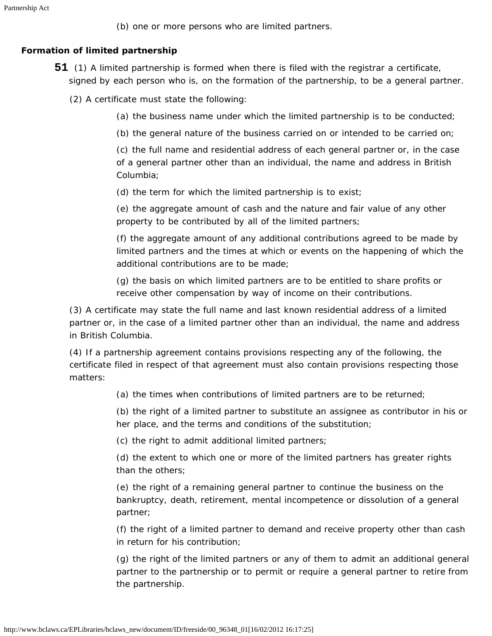(b) one or more persons who are limited partners.

## <span id="page-16-0"></span>**Formation of limited partnership**

- **51** (1) A limited partnership is formed when there is filed with the registrar a certificate, signed by each person who is, on the formation of the partnership, to be a general partner.
	- (2) A certificate must state the following:
		- (a) the business name under which the limited partnership is to be conducted;
		- (b) the general nature of the business carried on or intended to be carried on;

(c) the full name and residential address of each general partner or, in the case of a general partner other than an individual, the name and address in British Columbia;

(d) the term for which the limited partnership is to exist;

(e) the aggregate amount of cash and the nature and fair value of any other property to be contributed by all of the limited partners;

(f) the aggregate amount of any additional contributions agreed to be made by limited partners and the times at which or events on the happening of which the additional contributions are to be made;

(g) the basis on which limited partners are to be entitled to share profits or receive other compensation by way of income on their contributions.

(3) A certificate may state the full name and last known residential address of a limited partner or, in the case of a limited partner other than an individual, the name and address in British Columbia.

(4) If a partnership agreement contains provisions respecting any of the following, the certificate filed in respect of that agreement must also contain provisions respecting those matters:

(a) the times when contributions of limited partners are to be returned;

(b) the right of a limited partner to substitute an assignee as contributor in his or her place, and the terms and conditions of the substitution;

(c) the right to admit additional limited partners;

(d) the extent to which one or more of the limited partners has greater rights than the others;

(e) the right of a remaining general partner to continue the business on the bankruptcy, death, retirement, mental incompetence or dissolution of a general partner;

(f) the right of a limited partner to demand and receive property other than cash in return for his contribution;

<span id="page-16-1"></span>(g) the right of the limited partners or any of them to admit an additional general partner to the partnership or to permit or require a general partner to retire from the partnership.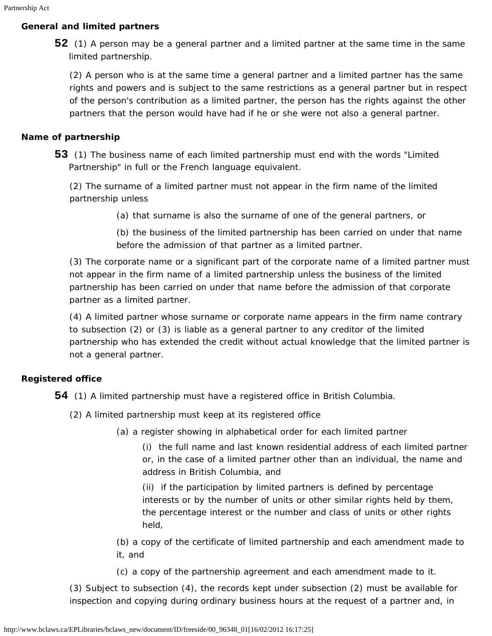#### **General and limited partners**

**52** (1) A person may be a general partner and a limited partner at the same time in the same limited partnership.

(2) A person who is at the same time a general partner and a limited partner has the same rights and powers and is subject to the same restrictions as a general partner but in respect of the person's contribution as a limited partner, the person has the rights against the other partners that the person would have had if he or she were not also a general partner.

#### <span id="page-17-0"></span>**Name of partnership**

**53** (1) The business name of each limited partnership must end with the words "Limited Partnership" in full or the French language equivalent.

(2) The surname of a limited partner must not appear in the firm name of the limited partnership unless

(a) that surname is also the surname of one of the general partners, or

(b) the business of the limited partnership has been carried on under that name before the admission of that partner as a limited partner.

(3) The corporate name or a significant part of the corporate name of a limited partner must not appear in the firm name of a limited partnership unless the business of the limited partnership has been carried on under that name before the admission of that corporate partner as a limited partner.

(4) A limited partner whose surname or corporate name appears in the firm name contrary to subsection (2) or (3) is liable as a general partner to any creditor of the limited partnership who has extended the credit without actual knowledge that the limited partner is not a general partner.

### <span id="page-17-1"></span>**Registered office**

**54** (1) A limited partnership must have a registered office in British Columbia.

- (2) A limited partnership must keep at its registered office
	- (a) a register showing in alphabetical order for each limited partner

(i) the full name and last known residential address of each limited partner or, in the case of a limited partner other than an individual, the name and address in British Columbia, and

(ii) if the participation by limited partners is defined by percentage interests or by the number of units or other similar rights held by them, the percentage interest or the number and class of units or other rights held,

(b) a copy of the certificate of limited partnership and each amendment made to it, and

(c) a copy of the partnership agreement and each amendment made to it.

(3) Subject to subsection (4), the records kept under subsection (2) must be available for inspection and copying during ordinary business hours at the request of a partner and, in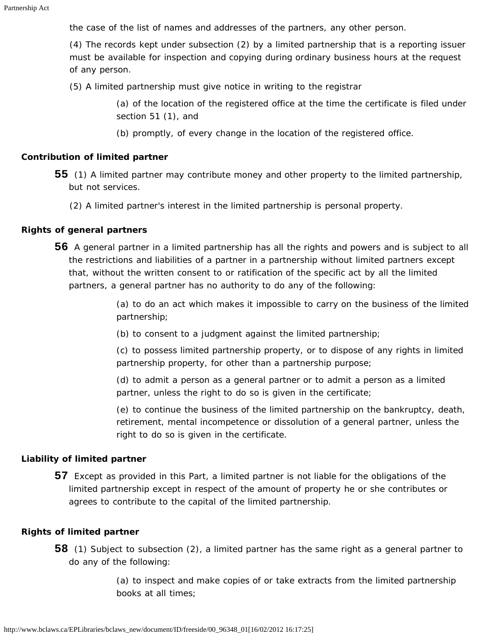the case of the list of names and addresses of the partners, any other person.

(4) The records kept under subsection (2) by a limited partnership that is a reporting issuer must be available for inspection and copying during ordinary business hours at the request of any person.

(5) A limited partnership must give notice in writing to the registrar

(a) of the location of the registered office at the time the certificate is filed under section 51 (1), and

(b) promptly, of every change in the location of the registered office.

#### <span id="page-18-0"></span>**Contribution of limited partner**

- **55** (1) A limited partner may contribute money and other property to the limited partnership, but not services.
	- (2) A limited partner's interest in the limited partnership is personal property.

#### <span id="page-18-1"></span>**Rights of general partners**

**56** A general partner in a limited partnership has all the rights and powers and is subject to all the restrictions and liabilities of a partner in a partnership without limited partners except that, without the written consent to or ratification of the specific act by all the limited partners, a general partner has no authority to do any of the following:

> (a) to do an act which makes it impossible to carry on the business of the limited partnership;

(b) to consent to a judgment against the limited partnership;

(c) to possess limited partnership property, or to dispose of any rights in limited partnership property, for other than a partnership purpose;

(d) to admit a person as a general partner or to admit a person as a limited partner, unless the right to do so is given in the certificate;

(e) to continue the business of the limited partnership on the bankruptcy, death, retirement, mental incompetence or dissolution of a general partner, unless the right to do so is given in the certificate.

#### <span id="page-18-2"></span>**Liability of limited partner**

**57** Except as provided in this Part, a limited partner is not liable for the obligations of the limited partnership except in respect of the amount of property he or she contributes or agrees to contribute to the capital of the limited partnership.

#### <span id="page-18-3"></span>**Rights of limited partner**

**58** (1) Subject to subsection (2), a limited partner has the same right as a general partner to do any of the following:

> (a) to inspect and make copies of or take extracts from the limited partnership books at all times;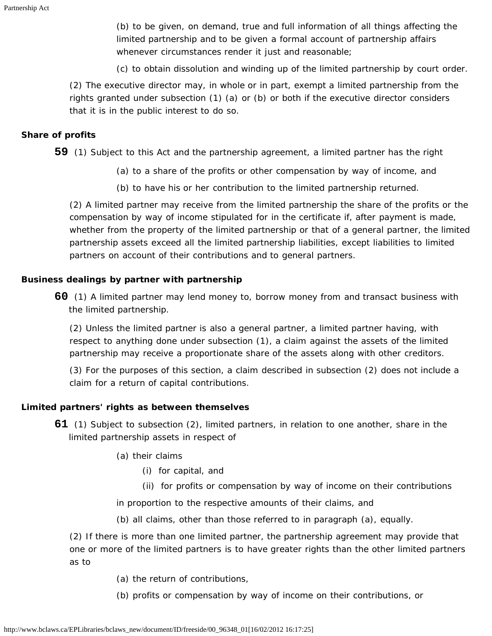(b) to be given, on demand, true and full information of all things affecting the limited partnership and to be given a formal account of partnership affairs whenever circumstances render it just and reasonable;

(c) to obtain dissolution and winding up of the limited partnership by court order.

(2) The executive director may, in whole or in part, exempt a limited partnership from the rights granted under subsection (1) (a) or (b) or both if the executive director considers that it is in the public interest to do so.

#### <span id="page-19-0"></span>**Share of profits**

**59** (1) Subject to this Act and the partnership agreement, a limited partner has the right

- (a) to a share of the profits or other compensation by way of income, and
- (b) to have his or her contribution to the limited partnership returned.

(2) A limited partner may receive from the limited partnership the share of the profits or the compensation by way of income stipulated for in the certificate if, after payment is made, whether from the property of the limited partnership or that of a general partner, the limited partnership assets exceed all the limited partnership liabilities, except liabilities to limited partners on account of their contributions and to general partners.

#### <span id="page-19-1"></span>**Business dealings by partner with partnership**

**60** (1) A limited partner may lend money to, borrow money from and transact business with the limited partnership.

(2) Unless the limited partner is also a general partner, a limited partner having, with respect to anything done under subsection (1), a claim against the assets of the limited partnership may receive a proportionate share of the assets along with other creditors.

(3) For the purposes of this section, a claim described in subsection (2) does not include a claim for a return of capital contributions.

#### <span id="page-19-2"></span>**Limited partners' rights as between themselves**

- **61** (1) Subject to subsection (2), limited partners, in relation to one another, share in the limited partnership assets in respect of
	- (a) their claims
		- (i) for capital, and
		- (ii) for profits or compensation by way of income on their contributions

in proportion to the respective amounts of their claims, and

(b) all claims, other than those referred to in paragraph (a), equally.

(2) If there is more than one limited partner, the partnership agreement may provide that one or more of the limited partners is to have greater rights than the other limited partners as to

- (a) the return of contributions,
- (b) profits or compensation by way of income on their contributions, or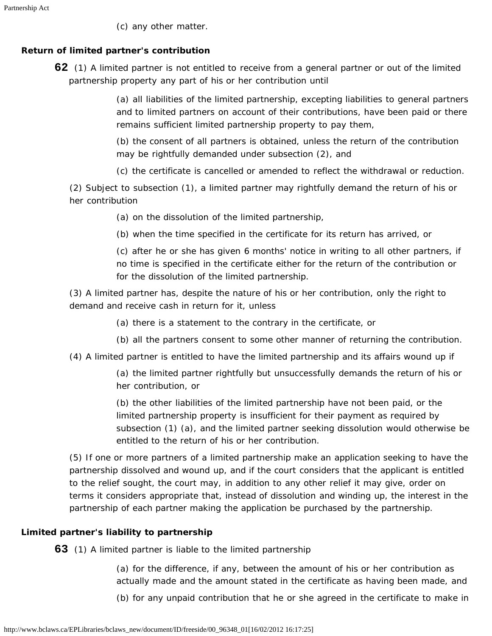(c) any other matter.

## <span id="page-20-0"></span>**Return of limited partner's contribution**

**62** (1) A limited partner is not entitled to receive from a general partner or out of the limited partnership property any part of his or her contribution until

> (a) all liabilities of the limited partnership, excepting liabilities to general partners and to limited partners on account of their contributions, have been paid or there remains sufficient limited partnership property to pay them,

(b) the consent of all partners is obtained, unless the return of the contribution may be rightfully demanded under subsection (2), and

(c) the certificate is cancelled or amended to reflect the withdrawal or reduction.

(2) Subject to subsection (1), a limited partner may rightfully demand the return of his or her contribution

(a) on the dissolution of the limited partnership,

(b) when the time specified in the certificate for its return has arrived, or

(c) after he or she has given 6 months' notice in writing to all other partners, if no time is specified in the certificate either for the return of the contribution or for the dissolution of the limited partnership.

(3) A limited partner has, despite the nature of his or her contribution, only the right to demand and receive cash in return for it, unless

- (a) there is a statement to the contrary in the certificate, or
- (b) all the partners consent to some other manner of returning the contribution.
- (4) A limited partner is entitled to have the limited partnership and its affairs wound up if

(a) the limited partner rightfully but unsuccessfully demands the return of his or her contribution, or

(b) the other liabilities of the limited partnership have not been paid, or the limited partnership property is insufficient for their payment as required by subsection (1) (a), and the limited partner seeking dissolution would otherwise be entitled to the return of his or her contribution.

(5) If one or more partners of a limited partnership make an application seeking to have the partnership dissolved and wound up, and if the court considers that the applicant is entitled to the relief sought, the court may, in addition to any other relief it may give, order on terms it considers appropriate that, instead of dissolution and winding up, the interest in the partnership of each partner making the application be purchased by the partnership.

## <span id="page-20-1"></span>**Limited partner's liability to partnership**

**63** (1) A limited partner is liable to the limited partnership

(a) for the difference, if any, between the amount of his or her contribution as actually made and the amount stated in the certificate as having been made, and

(b) for any unpaid contribution that he or she agreed in the certificate to make in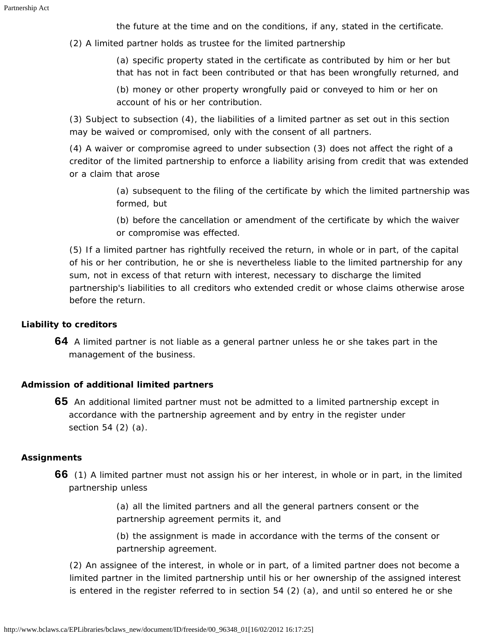the future at the time and on the conditions, if any, stated in the certificate.

(2) A limited partner holds as trustee for the limited partnership

(a) specific property stated in the certificate as contributed by him or her but that has not in fact been contributed or that has been wrongfully returned, and

(b) money or other property wrongfully paid or conveyed to him or her on account of his or her contribution.

(3) Subject to subsection (4), the liabilities of a limited partner as set out in this section may be waived or compromised, only with the consent of all partners.

(4) A waiver or compromise agreed to under subsection (3) does not affect the right of a creditor of the limited partnership to enforce a liability arising from credit that was extended or a claim that arose

> (a) subsequent to the filing of the certificate by which the limited partnership was formed, but

(b) before the cancellation or amendment of the certificate by which the waiver or compromise was effected.

(5) If a limited partner has rightfully received the return, in whole or in part, of the capital of his or her contribution, he or she is nevertheless liable to the limited partnership for any sum, not in excess of that return with interest, necessary to discharge the limited partnership's liabilities to all creditors who extended credit or whose claims otherwise arose before the return.

## <span id="page-21-0"></span>**Liability to creditors**

**64** A limited partner is not liable as a general partner unless he or she takes part in the management of the business.

## <span id="page-21-1"></span>**Admission of additional limited partners**

**65** An additional limited partner must not be admitted to a limited partnership except in accordance with the partnership agreement and by entry in the register under section 54 (2) (a).

## <span id="page-21-2"></span>**Assignments**

**66** (1) A limited partner must not assign his or her interest, in whole or in part, in the limited partnership unless

> (a) all the limited partners and all the general partners consent or the partnership agreement permits it, and

(b) the assignment is made in accordance with the terms of the consent or partnership agreement.

(2) An assignee of the interest, in whole or in part, of a limited partner does not become a limited partner in the limited partnership until his or her ownership of the assigned interest is entered in the register referred to in section 54 (2) (a), and until so entered he or she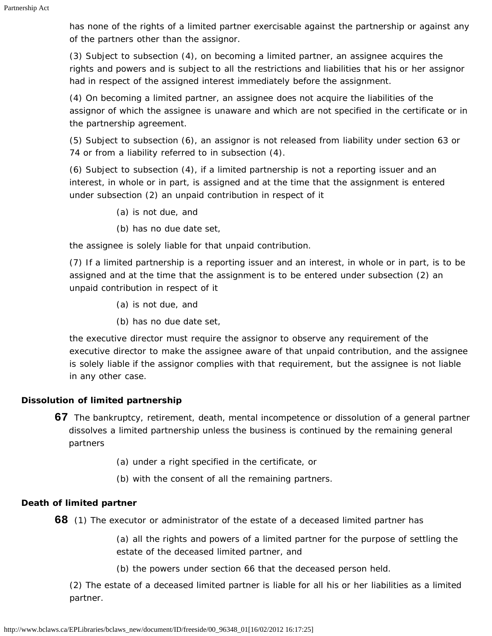has none of the rights of a limited partner exercisable against the partnership or against any of the partners other than the assignor.

(3) Subject to subsection (4), on becoming a limited partner, an assignee acquires the rights and powers and is subject to all the restrictions and liabilities that his or her assignor had in respect of the assigned interest immediately before the assignment.

(4) On becoming a limited partner, an assignee does not acquire the liabilities of the assignor of which the assignee is unaware and which are not specified in the certificate or in the partnership agreement.

(5) Subject to subsection (6), an assignor is not released from liability under section 63 or 74 or from a liability referred to in subsection (4).

(6) Subject to subsection (4), if a limited partnership is not a reporting issuer and an interest, in whole or in part, is assigned and at the time that the assignment is entered under subsection (2) an unpaid contribution in respect of it

- (a) is not due, and
- (b) has no due date set,

the assignee is solely liable for that unpaid contribution.

(7) If a limited partnership is a reporting issuer and an interest, in whole or in part, is to be assigned and at the time that the assignment is to be entered under subsection (2) an unpaid contribution in respect of it

- (a) is not due, and
- (b) has no due date set,

the executive director must require the assignor to observe any requirement of the executive director to make the assignee aware of that unpaid contribution, and the assignee is solely liable if the assignor complies with that requirement, but the assignee is not liable in any other case.

### <span id="page-22-0"></span>**Dissolution of limited partnership**

- **67** The bankruptcy, retirement, death, mental incompetence or dissolution of a general partner dissolves a limited partnership unless the business is continued by the remaining general partners
	- (a) under a right specified in the certificate, or
	- (b) with the consent of all the remaining partners.

### <span id="page-22-1"></span>**Death of limited partner**

**68** (1) The executor or administrator of the estate of a deceased limited partner has

(a) all the rights and powers of a limited partner for the purpose of settling the estate of the deceased limited partner, and

(b) the powers under section 66 that the deceased person held.

<span id="page-22-2"></span>(2) The estate of a deceased limited partner is liable for all his or her liabilities as a limited partner.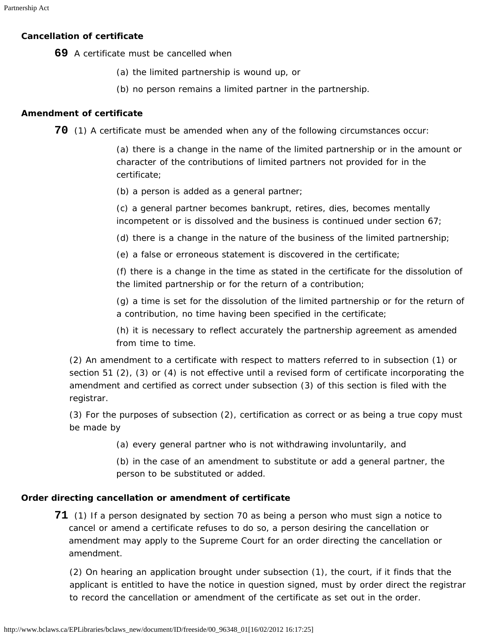#### **Cancellation of certificate**

**69** A certificate must be cancelled when

- (a) the limited partnership is wound up, or
- (b) no person remains a limited partner in the partnership.

#### <span id="page-23-0"></span>**Amendment of certificate**

**70** (1) A certificate must be amended when any of the following circumstances occur:

(a) there is a change in the name of the limited partnership or in the amount or character of the contributions of limited partners not provided for in the certificate;

(b) a person is added as a general partner;

(c) a general partner becomes bankrupt, retires, dies, becomes mentally incompetent or is dissolved and the business is continued under section 67;

(d) there is a change in the nature of the business of the limited partnership;

(e) a false or erroneous statement is discovered in the certificate;

(f) there is a change in the time as stated in the certificate for the dissolution of the limited partnership or for the return of a contribution;

(g) a time is set for the dissolution of the limited partnership or for the return of a contribution, no time having been specified in the certificate;

(h) it is necessary to reflect accurately the partnership agreement as amended from time to time.

(2) An amendment to a certificate with respect to matters referred to in subsection (1) or section 51 (2), (3) or (4) is not effective until a revised form of certificate incorporating the amendment and certified as correct under subsection (3) of this section is filed with the registrar.

(3) For the purposes of subsection (2), certification as correct or as being a true copy must be made by

(a) every general partner who is not withdrawing involuntarily, and

(b) in the case of an amendment to substitute or add a general partner, the person to be substituted or added.

#### <span id="page-23-1"></span>**Order directing cancellation or amendment of certificate**

**71** (1) If a person designated by section 70 as being a person who must sign a notice to cancel or amend a certificate refuses to do so, a person desiring the cancellation or amendment may apply to the Supreme Court for an order directing the cancellation or amendment.

<span id="page-23-2"></span>(2) On hearing an application brought under subsection (1), the court, if it finds that the applicant is entitled to have the notice in question signed, must by order direct the registrar to record the cancellation or amendment of the certificate as set out in the order.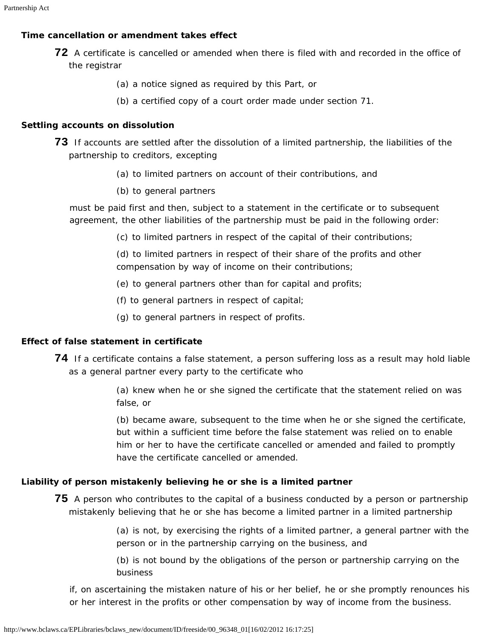### **Time cancellation or amendment takes effect**

- **72** A certificate is cancelled or amended when there is filed with and recorded in the office of the registrar
	- (a) a notice signed as required by this Part, or
	- (b) a certified copy of a court order made under section 71.

#### <span id="page-24-0"></span>**Settling accounts on dissolution**

- **73** If accounts are settled after the dissolution of a limited partnership, the liabilities of the partnership to creditors, excepting
	- (a) to limited partners on account of their contributions, and
	- (b) to general partners

must be paid first and then, subject to a statement in the certificate or to subsequent agreement, the other liabilities of the partnership must be paid in the following order:

(c) to limited partners in respect of the capital of their contributions;

(d) to limited partners in respect of their share of the profits and other compensation by way of income on their contributions;

- (e) to general partners other than for capital and profits;
- (f) to general partners in respect of capital;
- (g) to general partners in respect of profits.

### <span id="page-24-1"></span>**Effect of false statement in certificate**

**74** If a certificate contains a false statement, a person suffering loss as a result may hold liable as a general partner every party to the certificate who

> (a) knew when he or she signed the certificate that the statement relied on was false, or

> (b) became aware, subsequent to the time when he or she signed the certificate, but within a sufficient time before the false statement was relied on to enable him or her to have the certificate cancelled or amended and failed to promptly have the certificate cancelled or amended.

### <span id="page-24-2"></span>**Liability of person mistakenly believing he or she is a limited partner**

**75** A person who contributes to the capital of a business conducted by a person or partnership mistakenly believing that he or she has become a limited partner in a limited partnership

> (a) is not, by exercising the rights of a limited partner, a general partner with the person or in the partnership carrying on the business, and

(b) is not bound by the obligations of the person or partnership carrying on the business

if, on ascertaining the mistaken nature of his or her belief, he or she promptly renounces his or her interest in the profits or other compensation by way of income from the business.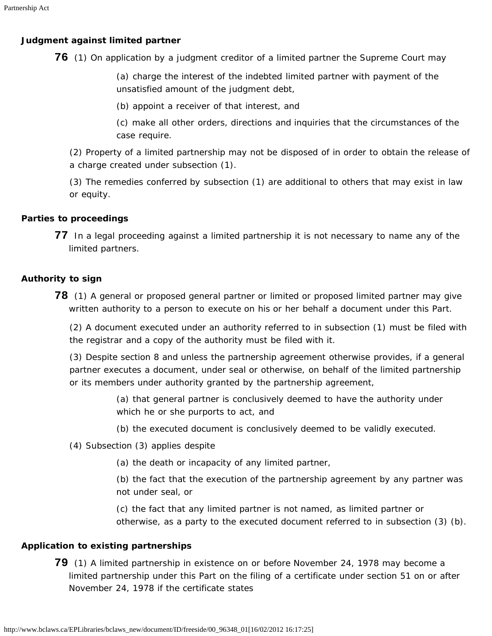## <span id="page-25-0"></span>**Judgment against limited partner**

**76** (1) On application by a judgment creditor of a limited partner the Supreme Court may

(a) charge the interest of the indebted limited partner with payment of the unsatisfied amount of the judgment debt,

(b) appoint a receiver of that interest, and

(c) make all other orders, directions and inquiries that the circumstances of the case require.

(2) Property of a limited partnership may not be disposed of in order to obtain the release of a charge created under subsection (1).

(3) The remedies conferred by subsection (1) are additional to others that may exist in law or equity.

## <span id="page-25-1"></span>**Parties to proceedings**

**77** In a legal proceeding against a limited partnership it is not necessary to name any of the limited partners.

## <span id="page-25-2"></span>**Authority to sign**

**78** (1) A general or proposed general partner or limited or proposed limited partner may give written authority to a person to execute on his or her behalf a document under this Part.

(2) A document executed under an authority referred to in subsection (1) must be filed with the registrar and a copy of the authority must be filed with it.

(3) Despite section 8 and unless the partnership agreement otherwise provides, if a general partner executes a document, under seal or otherwise, on behalf of the limited partnership or its members under authority granted by the partnership agreement,

> (a) that general partner is conclusively deemed to have the authority under which he or she purports to act, and

- (b) the executed document is conclusively deemed to be validly executed.
- (4) Subsection (3) applies despite
	- (a) the death or incapacity of any limited partner,

(b) the fact that the execution of the partnership agreement by any partner was not under seal, or

(c) the fact that any limited partner is not named, as limited partner or otherwise, as a party to the executed document referred to in subsection (3) (b).

## <span id="page-25-3"></span>**Application to existing partnerships**

**79** (1) A limited partnership in existence on or before November 24, 1978 may become a limited partnership under this Part on the filing of a certificate under section 51 on or after November 24, 1978 if the certificate states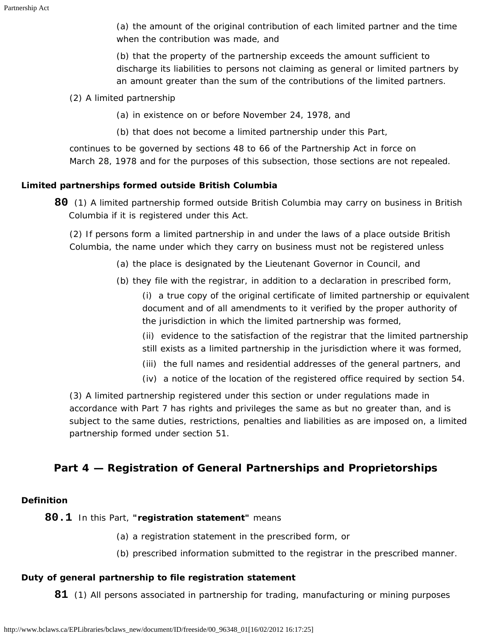(a) the amount of the original contribution of each limited partner and the time when the contribution was made, and

(b) that the property of the partnership exceeds the amount sufficient to discharge its liabilities to persons not claiming as general or limited partners by an amount greater than the sum of the contributions of the limited partners.

(2) A limited partnership

(a) in existence on or before November 24, 1978, and

(b) that does not become a limited partnership under this Part,

continues to be governed by sections 48 to 66 of the *Partnership Act* in force on March 28, 1978 and for the purposes of this subsection, those sections are not repealed.

## <span id="page-26-0"></span>**Limited partnerships formed outside British Columbia**

**80** (1) A limited partnership formed outside British Columbia may carry on business in British Columbia if it is registered under this Act.

(2) If persons form a limited partnership in and under the laws of a place outside British Columbia, the name under which they carry on business must not be registered unless

- (a) the place is designated by the Lieutenant Governor in Council, and
- (b) they file with the registrar, in addition to a declaration in prescribed form,

(i) a true copy of the original certificate of limited partnership or equivalent document and of all amendments to it verified by the proper authority of the jurisdiction in which the limited partnership was formed,

(ii) evidence to the satisfaction of the registrar that the limited partnership still exists as a limited partnership in the jurisdiction where it was formed,

- (iii) the full names and residential addresses of the general partners, and
- (iv) a notice of the location of the registered office required by section 54.

(3) A limited partnership registered under this section or under regulations made in accordance with Part 7 has rights and privileges the same as but no greater than, and is subject to the same duties, restrictions, penalties and liabilities as are imposed on, a limited partnership formed under section 51.

## <span id="page-26-1"></span>**Part 4 — Registration of General Partnerships and Proprietorships**

### <span id="page-26-2"></span>**Definition**

### **80.1** In this Part, **"registration statement"** means

- (a) a registration statement in the prescribed form, or
- (b) prescribed information submitted to the registrar in the prescribed manner.

### <span id="page-26-3"></span>**Duty of general partnership to file registration statement**

**81** (1) All persons associated in partnership for trading, manufacturing or mining purposes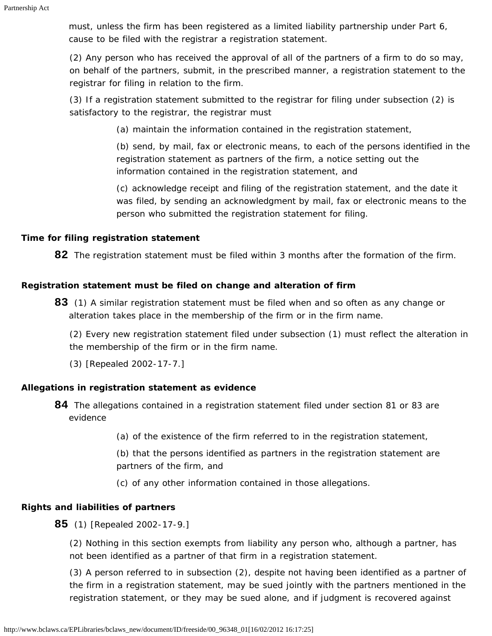must, unless the firm has been registered as a limited liability partnership under Part 6, cause to be filed with the registrar a registration statement.

(2) Any person who has received the approval of all of the partners of a firm to do so may, on behalf of the partners, submit, in the prescribed manner, a registration statement to the registrar for filing in relation to the firm.

(3) If a registration statement submitted to the registrar for filing under subsection (2) is satisfactory to the registrar, the registrar must

(a) maintain the information contained in the registration statement,

(b) send, by mail, fax or electronic means, to each of the persons identified in the registration statement as partners of the firm, a notice setting out the information contained in the registration statement, and

(c) acknowledge receipt and filing of the registration statement, and the date it was filed, by sending an acknowledgment by mail, fax or electronic means to the person who submitted the registration statement for filing.

### <span id="page-27-0"></span>**Time for filing registration statement**

**82** The registration statement must be filed within 3 months after the formation of the firm.

## <span id="page-27-1"></span>**Registration statement must be filed on change and alteration of firm**

**83** (1) A similar registration statement must be filed when and so often as any change or alteration takes place in the membership of the firm or in the firm name.

(2) Every new registration statement filed under subsection (1) must reflect the alteration in the membership of the firm or in the firm name.

(3) [Repealed 2002-17-7.]

## <span id="page-27-2"></span>**Allegations in registration statement as evidence**

- **84** The allegations contained in a registration statement filed under section 81 or 83 are evidence
	- (a) of the existence of the firm referred to in the registration statement,

(b) that the persons identified as partners in the registration statement are partners of the firm, and

(c) of any other information contained in those allegations.

## <span id="page-27-3"></span>**Rights and liabilities of partners**

**85** (1) [Repealed 2002-17-9.]

(2) Nothing in this section exempts from liability any person who, although a partner, has not been identified as a partner of that firm in a registration statement.

(3) A person referred to in subsection (2), despite not having been identified as a partner of the firm in a registration statement, may be sued jointly with the partners mentioned in the registration statement, or they may be sued alone, and if judgment is recovered against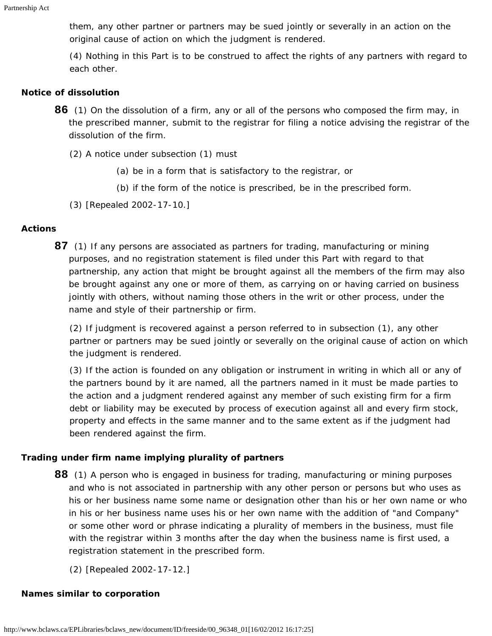them, any other partner or partners may be sued jointly or severally in an action on the original cause of action on which the judgment is rendered.

(4) Nothing in this Part is to be construed to affect the rights of any partners with regard to each other.

#### <span id="page-28-0"></span>**Notice of dissolution**

- **86** (1) On the dissolution of a firm, any or all of the persons who composed the firm may, in the prescribed manner, submit to the registrar for filing a notice advising the registrar of the dissolution of the firm.
	- (2) A notice under subsection (1) must
		- (a) be in a form that is satisfactory to the registrar, or
		- (b) if the form of the notice is prescribed, be in the prescribed form.
	- (3) [Repealed 2002-17-10.]

#### <span id="page-28-1"></span>**Actions**

**87** (1) If any persons are associated as partners for trading, manufacturing or mining purposes, and no registration statement is filed under this Part with regard to that partnership, any action that might be brought against all the members of the firm may also be brought against any one or more of them, as carrying on or having carried on business jointly with others, without naming those others in the writ or other process, under the name and style of their partnership or firm.

(2) If judgment is recovered against a person referred to in subsection (1), any other partner or partners may be sued jointly or severally on the original cause of action on which the judgment is rendered.

(3) If the action is founded on any obligation or instrument in writing in which all or any of the partners bound by it are named, all the partners named in it must be made parties to the action and a judgment rendered against any member of such existing firm for a firm debt or liability may be executed by process of execution against all and every firm stock, property and effects in the same manner and to the same extent as if the judgment had been rendered against the firm.

#### <span id="page-28-2"></span>**Trading under firm name implying plurality of partners**

- **88** (1) A person who is engaged in business for trading, manufacturing or mining purposes and who is not associated in partnership with any other person or persons but who uses as his or her business name some name or designation other than his or her own name or who in his or her business name uses his or her own name with the addition of "and Company" or some other word or phrase indicating a plurality of members in the business, must file with the registrar within 3 months after the day when the business name is first used, a registration statement in the prescribed form.
	- (2) [Repealed 2002-17-12.]

## <span id="page-28-3"></span>**Names similar to corporation**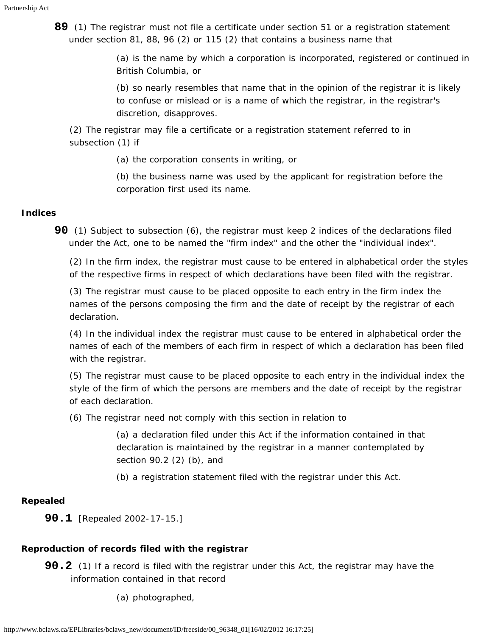**89** (1) The registrar must not file a certificate under section 51 or a registration statement under section 81, 88, 96 (2) or 115 (2) that contains a business name that

> (a) is the name by which a corporation is incorporated, registered or continued in British Columbia, or

(b) so nearly resembles that name that in the opinion of the registrar it is likely to confuse or mislead or is a name of which the registrar, in the registrar's discretion, disapproves.

(2) The registrar may file a certificate or a registration statement referred to in subsection (1) if

(a) the corporation consents in writing, or

(b) the business name was used by the applicant for registration before the corporation first used its name.

## <span id="page-29-0"></span>**Indices**

**90** (1) Subject to subsection (6), the registrar must keep 2 indices of the declarations filed under the Act, one to be named the "firm index" and the other the "individual index".

(2) In the firm index, the registrar must cause to be entered in alphabetical order the styles of the respective firms in respect of which declarations have been filed with the registrar.

(3) The registrar must cause to be placed opposite to each entry in the firm index the names of the persons composing the firm and the date of receipt by the registrar of each declaration.

(4) In the individual index the registrar must cause to be entered in alphabetical order the names of each of the members of each firm in respect of which a declaration has been filed with the registrar.

(5) The registrar must cause to be placed opposite to each entry in the individual index the style of the firm of which the persons are members and the date of receipt by the registrar of each declaration.

(6) The registrar need not comply with this section in relation to

(a) a declaration filed under this Act if the information contained in that declaration is maintained by the registrar in a manner contemplated by section 90.2 (2) (b), and

(b) a registration statement filed with the registrar under this Act.

### <span id="page-29-1"></span>**Repealed**

**90.1** [Repealed 2002-17-15.]

## <span id="page-29-2"></span>**Reproduction of records filed with the registrar**

- **90.2** (1) If a record is filed with the registrar under this Act, the registrar may have the information contained in that record
	- (a) photographed,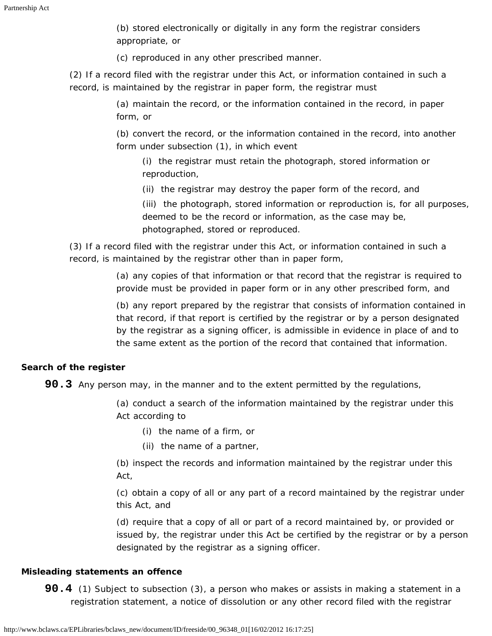(b) stored electronically or digitally in any form the registrar considers appropriate, or

(c) reproduced in any other prescribed manner.

(2) If a record filed with the registrar under this Act, or information contained in such a record, is maintained by the registrar in paper form, the registrar must

> (a) maintain the record, or the information contained in the record, in paper form, or

(b) convert the record, or the information contained in the record, into another form under subsection (1), in which event

(i) the registrar must retain the photograph, stored information or reproduction,

(ii) the registrar may destroy the paper form of the record, and

(iii) the photograph, stored information or reproduction is, for all purposes, deemed to be the record or information, as the case may be, photographed, stored or reproduced.

(3) If a record filed with the registrar under this Act, or information contained in such a record, is maintained by the registrar other than in paper form,

> (a) any copies of that information or that record that the registrar is required to provide must be provided in paper form or in any other prescribed form, and

(b) any report prepared by the registrar that consists of information contained in that record, if that report is certified by the registrar or by a person designated by the registrar as a signing officer, is admissible in evidence in place of and to the same extent as the portion of the record that contained that information.

## <span id="page-30-0"></span>**Search of the register**

**90.3** Any person may, in the manner and to the extent permitted by the regulations,

(a) conduct a search of the information maintained by the registrar under this Act according to

- (i) the name of a firm, or
- (ii) the name of a partner,

(b) inspect the records and information maintained by the registrar under this Act,

(c) obtain a copy of all or any part of a record maintained by the registrar under this Act, and

(d) require that a copy of all or part of a record maintained by, or provided or issued by, the registrar under this Act be certified by the registrar or by a person designated by the registrar as a signing officer.

### <span id="page-30-1"></span>**Misleading statements an offence**

**90.4** (1) Subject to subsection (3), a person who makes or assists in making a statement in a registration statement, a notice of dissolution or any other record filed with the registrar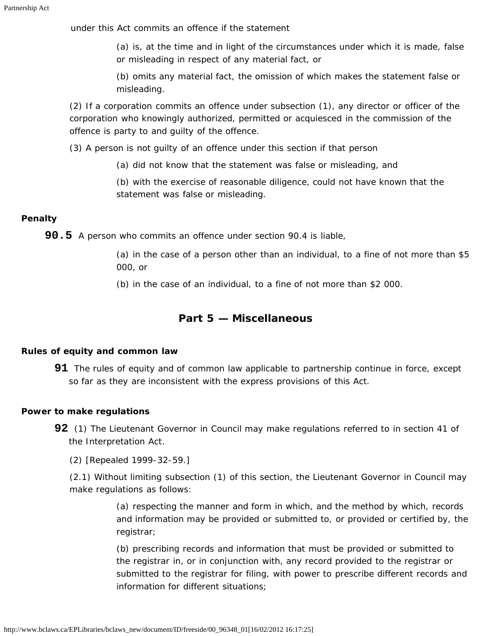under this Act commits an offence if the statement

(a) is, at the time and in light of the circumstances under which it is made, false or misleading in respect of any material fact, or

(b) omits any material fact, the omission of which makes the statement false or misleading.

(2) If a corporation commits an offence under subsection (1), any director or officer of the corporation who knowingly authorized, permitted or acquiesced in the commission of the offence is party to and guilty of the offence.

(3) A person is not guilty of an offence under this section if that person

(a) did not know that the statement was false or misleading, and

(b) with the exercise of reasonable diligence, could not have known that the statement was false or misleading.

## <span id="page-31-0"></span>**Penalty**

**90.5** A person who commits an offence under section 90.4 is liable,

(a) in the case of a person other than an individual, to a fine of not more than \$5 000, or

(b) in the case of an individual, to a fine of not more than \$2 000.

## **Part 5 — Miscellaneous**

### <span id="page-31-2"></span><span id="page-31-1"></span>**Rules of equity and common law**

**91** The rules of equity and of common law applicable to partnership continue in force, except so far as they are inconsistent with the express provisions of this Act.

### <span id="page-31-3"></span>**Power to make regulations**

- **92** (1) The Lieutenant Governor in Council may make regulations referred to in section 41 of the *Interpretation Act*.
	- (2) [Repealed 1999-32-59.]

(2.1) Without limiting subsection (1) of this section, the Lieutenant Governor in Council may make regulations as follows:

> (a) respecting the manner and form in which, and the method by which, records and information may be provided or submitted to, or provided or certified by, the registrar;

> (b) prescribing records and information that must be provided or submitted to the registrar in, or in conjunction with, any record provided to the registrar or submitted to the registrar for filing, with power to prescribe different records and information for different situations;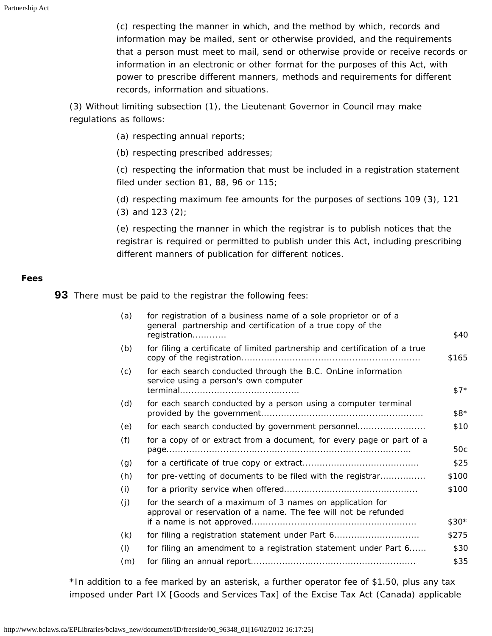(c) respecting the manner in which, and the method by which, records and information may be mailed, sent or otherwise provided, and the requirements that a person must meet to mail, send or otherwise provide or receive records or information in an electronic or other format for the purposes of this Act, with power to prescribe different manners, methods and requirements for different records, information and situations.

(3) Without limiting subsection (1), the Lieutenant Governor in Council may make regulations as follows:

- (a) respecting annual reports;
- (b) respecting prescribed addresses;

(c) respecting the information that must be included in a registration statement filed under section 81, 88, 96 or 115;

(d) respecting maximum fee amounts for the purposes of sections 109 (3), 121 (3) and 123 (2);

(e) respecting the manner in which the registrar is to publish notices that the registrar is required or permitted to publish under this Act, including prescribing different manners of publication for different notices.

#### <span id="page-32-0"></span>**Fees**

**93** There must be paid to the registrar the following fees:

| (a) | for registration of a business name of a sole proprietor or of a<br>general partnership and certification of a true copy of the |               |
|-----|---------------------------------------------------------------------------------------------------------------------------------|---------------|
|     | registration                                                                                                                    | \$40          |
| (b) | for filing a certificate of limited partnership and certification of a true                                                     | \$165         |
| (c) | for each search conducted through the B.C. OnLine information<br>service using a person's own computer                          |               |
|     |                                                                                                                                 | $$7^{\star}$$ |
| (d) | for each search conducted by a person using a computer terminal                                                                 |               |
|     |                                                                                                                                 | \$8*          |
| (e) | for each search conducted by government personnel                                                                               | \$10          |
| (f) | for a copy of or extract from a document, for every page or part of a                                                           | 50¢           |
| (g) |                                                                                                                                 | \$25          |
| (h) | for pre-vetting of documents to be filed with the registrar                                                                     | \$100         |
| (i) |                                                                                                                                 | \$100         |
| (i) | for the search of a maximum of 3 names on application for<br>approval or reservation of a name. The fee will not be refunded    |               |
|     |                                                                                                                                 | $$30*$        |
| (k) | for filing a registration statement under Part 6                                                                                | \$275         |
| (1) | for filing an amendment to a registration statement under Part 6                                                                | \$30          |
| (m) |                                                                                                                                 | \$35          |
|     |                                                                                                                                 |               |

\*In addition to a fee marked by an asterisk, a further operator fee of \$1.50, plus any tax imposed under Part IX *[Goods and Services Tax]* of the *Excise Tax Act* (Canada) applicable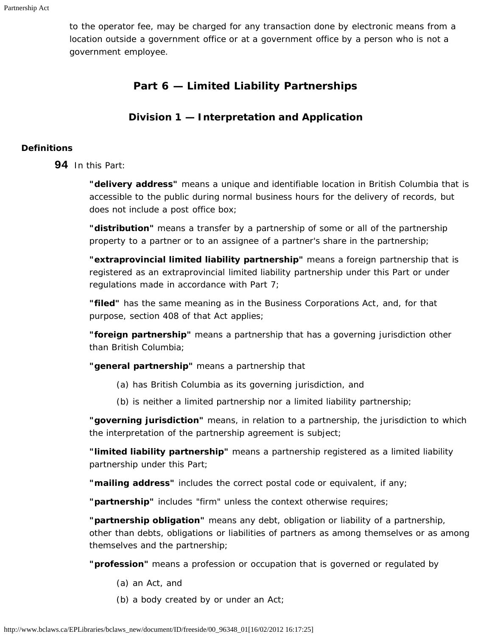<span id="page-33-0"></span>to the operator fee, may be charged for any transaction done by electronic means from a location outside a government office or at a government office by a person who is not a government employee.

## **Part 6 — Limited Liability Partnerships**

## **Division 1 — Interpretation and Application**

## <span id="page-33-2"></span><span id="page-33-1"></span>**Definitions**

**94** In this Part:

**"delivery address"** means a unique and identifiable location in British Columbia that is accessible to the public during normal business hours for the delivery of records, but does not include a post office box;

**"distribution"** means a transfer by a partnership of some or all of the partnership property to a partner or to an assignee of a partner's share in the partnership;

**"extraprovincial limited liability partnership"** means a foreign partnership that is registered as an extraprovincial limited liability partnership under this Part or under regulations made in accordance with Part 7;

**"filed"** has the same meaning as in the *Business Corporations Act*, and, for that purpose, section 408 of that Act applies;

**"foreign partnership"** means a partnership that has a governing jurisdiction other than British Columbia;

**"general partnership"** means a partnership that

- (a) has British Columbia as its governing jurisdiction, and
- (b) is neither a limited partnership nor a limited liability partnership;

**"governing jurisdiction"** means, in relation to a partnership, the jurisdiction to which the interpretation of the partnership agreement is subject;

**"limited liability partnership"** means a partnership registered as a limited liability partnership under this Part;

**"mailing address"** includes the correct postal code or equivalent, if any;

**"partnership"** includes "firm" unless the context otherwise requires;

**"partnership obligation"** means any debt, obligation or liability of a partnership, other than debts, obligations or liabilities of partners as among themselves or as among themselves and the partnership;

**"profession"** means a profession or occupation that is governed or regulated by

- (a) an Act, and
- (b) a body created by or under an Act;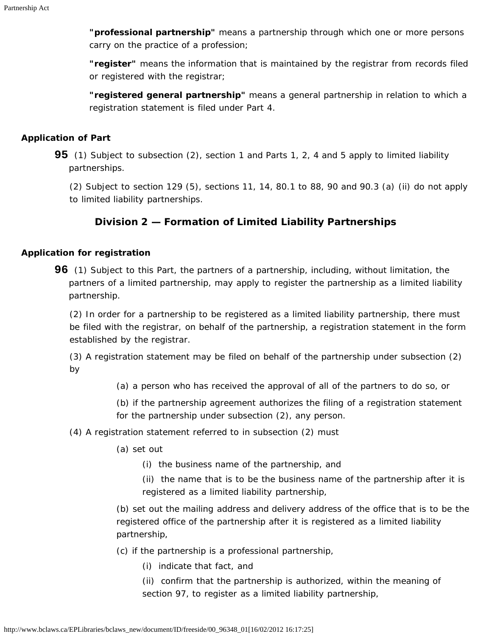**"professional partnership"** means a partnership through which one or more persons carry on the practice of a profession;

**"register"** means the information that is maintained by the registrar from records filed or registered with the registrar;

**"registered general partnership"** means a general partnership in relation to which a registration statement is filed under Part 4.

#### <span id="page-34-0"></span>**Application of Part**

**95** (1) Subject to subsection (2), section 1 and Parts 1, 2, 4 and 5 apply to limited liability partnerships.

(2) Subject to section 129 (5), sections 11, 14, 80.1 to 88, 90 and 90.3 (a) (ii) do not apply to limited liability partnerships.

## **Division 2 — Formation of Limited Liability Partnerships**

#### <span id="page-34-2"></span><span id="page-34-1"></span>**Application for registration**

**96** (1) Subject to this Part, the partners of a partnership, including, without limitation, the partners of a limited partnership, may apply to register the partnership as a limited liability partnership.

(2) In order for a partnership to be registered as a limited liability partnership, there must be filed with the registrar, on behalf of the partnership, a registration statement in the form established by the registrar.

(3) A registration statement may be filed on behalf of the partnership under subsection (2) by

- (a) a person who has received the approval of all of the partners to do so, or
- (b) if the partnership agreement authorizes the filing of a registration statement for the partnership under subsection (2), any person.

### (4) A registration statement referred to in subsection (2) must

- (a) set out
	- (i) the business name of the partnership, and
	- (ii) the name that is to be the business name of the partnership after it is registered as a limited liability partnership,

(b) set out the mailing address and delivery address of the office that is to be the registered office of the partnership after it is registered as a limited liability partnership,

- (c) if the partnership is a professional partnership,
	- (i) indicate that fact, and
	- (ii) confirm that the partnership is authorized, within the meaning of section 97, to register as a limited liability partnership,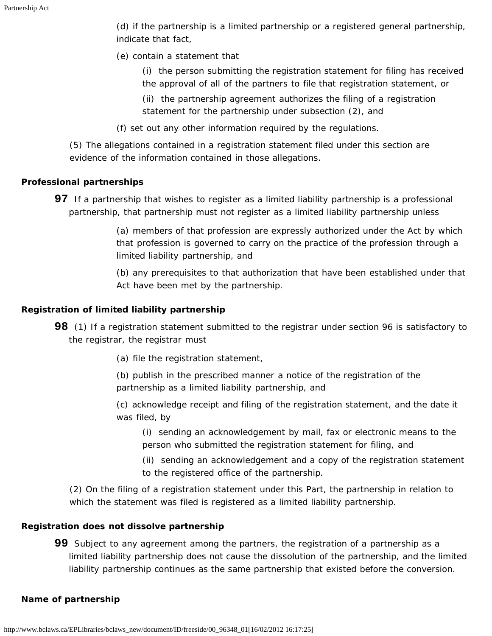(d) if the partnership is a limited partnership or a registered general partnership, indicate that fact,

- (e) contain a statement that
	- (i) the person submitting the registration statement for filing has received the approval of all of the partners to file that registration statement, or
	- (ii) the partnership agreement authorizes the filing of a registration statement for the partnership under subsection (2), and
- (f) set out any other information required by the regulations.

(5) The allegations contained in a registration statement filed under this section are evidence of the information contained in those allegations.

### <span id="page-35-0"></span>**Professional partnerships**

**97** If a partnership that wishes to register as a limited liability partnership is a professional partnership, that partnership must not register as a limited liability partnership unless

> (a) members of that profession are expressly authorized under the Act by which that profession is governed to carry on the practice of the profession through a limited liability partnership, and

> (b) any prerequisites to that authorization that have been established under that Act have been met by the partnership.

## <span id="page-35-1"></span>**Registration of limited liability partnership**

- **98** (1) If a registration statement submitted to the registrar under section 96 is satisfactory to the registrar, the registrar must
	- (a) file the registration statement,
	- (b) publish in the prescribed manner a notice of the registration of the partnership as a limited liability partnership, and
	- (c) acknowledge receipt and filing of the registration statement, and the date it was filed, by
		- (i) sending an acknowledgement by mail, fax or electronic means to the person who submitted the registration statement for filing, and
		- (ii) sending an acknowledgement and a copy of the registration statement to the registered office of the partnership.

(2) On the filing of a registration statement under this Part, the partnership in relation to which the statement was filed is registered as a limited liability partnership.

### <span id="page-35-2"></span>**Registration does not dissolve partnership**

**99** Subject to any agreement among the partners, the registration of a partnership as a limited liability partnership does not cause the dissolution of the partnership, and the limited liability partnership continues as the same partnership that existed before the conversion.

### <span id="page-35-3"></span>**Name of partnership**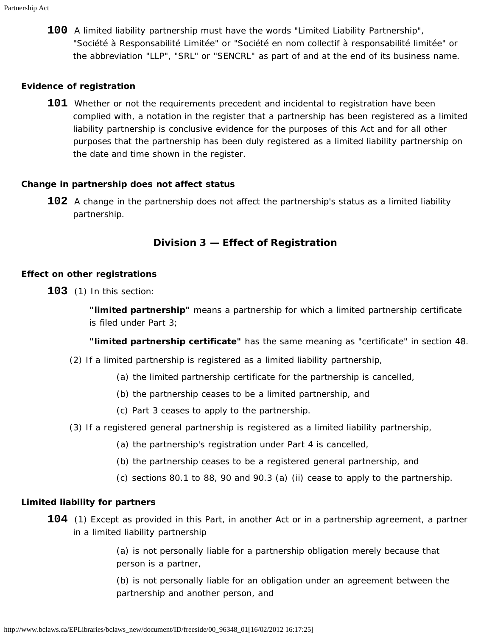**100** A limited liability partnership must have the words "Limited Liability Partnership", "Société à Responsabilité Limitée" or "Société en nom collectif à responsabilité limitée" or the abbreviation "LLP", "SRL" or "SENCRL" as part of and at the end of its business name.

#### <span id="page-36-0"></span>**Evidence of registration**

**101** Whether or not the requirements precedent and incidental to registration have been complied with, a notation in the register that a partnership has been registered as a limited liability partnership is conclusive evidence for the purposes of this Act and for all other purposes that the partnership has been duly registered as a limited liability partnership on the date and time shown in the register.

#### <span id="page-36-1"></span>**Change in partnership does not affect status**

**102** A change in the partnership does not affect the partnership's status as a limited liability partnership.

## **Division 3 — Effect of Registration**

#### <span id="page-36-3"></span><span id="page-36-2"></span>**Effect on other registrations**

**103** (1) In this section:

**"limited partnership"** means a partnership for which a limited partnership certificate is filed under Part 3;

**"limited partnership certificate"** has the same meaning as "certificate" in section 48.

- (2) If a limited partnership is registered as a limited liability partnership,
	- (a) the limited partnership certificate for the partnership is cancelled,
	- (b) the partnership ceases to be a limited partnership, and
	- (c) Part 3 ceases to apply to the partnership.
- (3) If a registered general partnership is registered as a limited liability partnership,
	- (a) the partnership's registration under Part 4 is cancelled,
	- (b) the partnership ceases to be a registered general partnership, and
	- (c) sections 80.1 to 88, 90 and 90.3 (a) (ii) cease to apply to the partnership.

#### <span id="page-36-4"></span>**Limited liability for partners**

**104** (1) Except as provided in this Part, in another Act or in a partnership agreement, a partner in a limited liability partnership

> (a) is not personally liable for a partnership obligation merely because that person is a partner,

(b) is not personally liable for an obligation under an agreement between the partnership and another person, and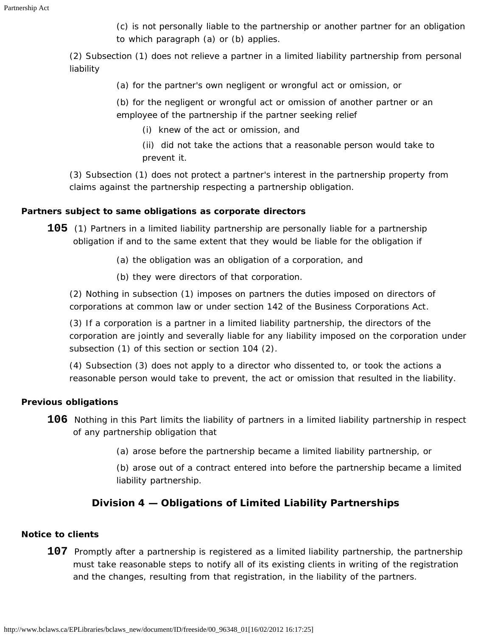(c) is not personally liable to the partnership or another partner for an obligation to which paragraph (a) or (b) applies.

(2) Subsection (1) does not relieve a partner in a limited liability partnership from personal liability

(a) for the partner's own negligent or wrongful act or omission, or

(b) for the negligent or wrongful act or omission of another partner or an employee of the partnership if the partner seeking relief

(i) knew of the act or omission, and

(ii) did not take the actions that a reasonable person would take to prevent it.

(3) Subsection (1) does not protect a partner's interest in the partnership property from claims against the partnership respecting a partnership obligation.

## <span id="page-37-0"></span>**Partners subject to same obligations as corporate directors**

**105** (1) Partners in a limited liability partnership are personally liable for a partnership obligation if and to the same extent that they would be liable for the obligation if

- (a) the obligation was an obligation of a corporation, and
- (b) they were directors of that corporation.

(2) Nothing in subsection (1) imposes on partners the duties imposed on directors of corporations at common law or under section 142 of the *Business Corporations Act*.

(3) If a corporation is a partner in a limited liability partnership, the directors of the corporation are jointly and severally liable for any liability imposed on the corporation under subsection (1) of this section or section 104 (2).

(4) Subsection (3) does not apply to a director who dissented to, or took the actions a reasonable person would take to prevent, the act or omission that resulted in the liability.

### <span id="page-37-1"></span>**Previous obligations**

- **106** Nothing in this Part limits the liability of partners in a limited liability partnership in respect of any partnership obligation that
	- (a) arose before the partnership became a limited liability partnership, or

(b) arose out of a contract entered into before the partnership became a limited liability partnership.

## **Division 4 — Obligations of Limited Liability Partnerships**

## <span id="page-37-4"></span><span id="page-37-3"></span><span id="page-37-2"></span>**Notice to clients**

**107** Promptly after a partnership is registered as a limited liability partnership, the partnership must take reasonable steps to notify all of its existing clients in writing of the registration and the changes, resulting from that registration, in the liability of the partners.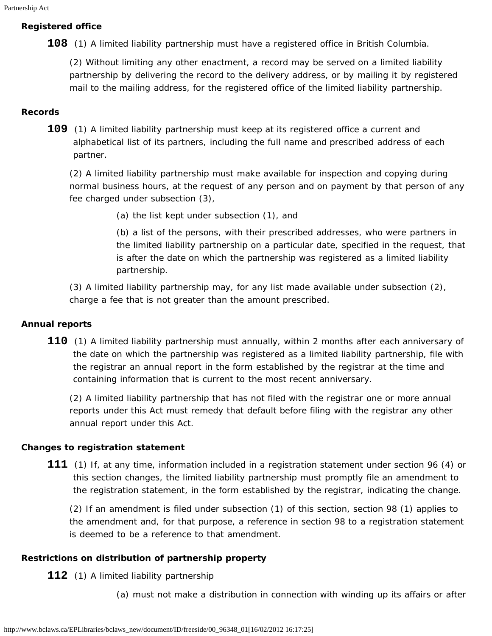### **Registered office**

**108** (1) A limited liability partnership must have a registered office in British Columbia.

(2) Without limiting any other enactment, a record may be served on a limited liability partnership by delivering the record to the delivery address, or by mailing it by registered mail to the mailing address, for the registered office of the limited liability partnership.

#### <span id="page-38-0"></span>**Records**

**109** (1) A limited liability partnership must keep at its registered office a current and alphabetical list of its partners, including the full name and prescribed address of each partner.

(2) A limited liability partnership must make available for inspection and copying during normal business hours, at the request of any person and on payment by that person of any fee charged under subsection (3),

(a) the list kept under subsection (1), and

(b) a list of the persons, with their prescribed addresses, who were partners in the limited liability partnership on a particular date, specified in the request, that is after the date on which the partnership was registered as a limited liability partnership.

(3) A limited liability partnership may, for any list made available under subsection (2), charge a fee that is not greater than the amount prescribed.

### <span id="page-38-1"></span>**Annual reports**

**110** (1) A limited liability partnership must annually, within 2 months after each anniversary of the date on which the partnership was registered as a limited liability partnership, file with the registrar an annual report in the form established by the registrar at the time and containing information that is current to the most recent anniversary.

(2) A limited liability partnership that has not filed with the registrar one or more annual reports under this Act must remedy that default before filing with the registrar any other annual report under this Act.

#### <span id="page-38-2"></span>**Changes to registration statement**

**111** (1) If, at any time, information included in a registration statement under section 96 (4) or this section changes, the limited liability partnership must promptly file an amendment to the registration statement, in the form established by the registrar, indicating the change.

(2) If an amendment is filed under subsection (1) of this section, section 98 (1) applies to the amendment and, for that purpose, a reference in section 98 to a registration statement is deemed to be a reference to that amendment.

### <span id="page-38-3"></span>**Restrictions on distribution of partnership property**

**112** (1) A limited liability partnership

(a) must not make a distribution in connection with winding up its affairs or after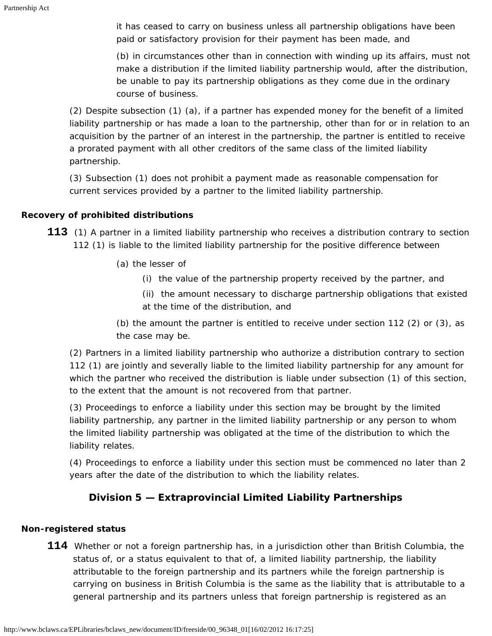it has ceased to carry on business unless all partnership obligations have been paid or satisfactory provision for their payment has been made, and

(b) in circumstances other than in connection with winding up its affairs, must not make a distribution if the limited liability partnership would, after the distribution, be unable to pay its partnership obligations as they come due in the ordinary course of business.

(2) Despite subsection (1) (a), if a partner has expended money for the benefit of a limited liability partnership or has made a loan to the partnership, other than for or in relation to an acquisition by the partner of an interest in the partnership, the partner is entitled to receive a prorated payment with all other creditors of the same class of the limited liability partnership.

(3) Subsection (1) does not prohibit a payment made as reasonable compensation for current services provided by a partner to the limited liability partnership.

## <span id="page-39-0"></span>**Recovery of prohibited distributions**

**113** (1) A partner in a limited liability partnership who receives a distribution contrary to section 112 (1) is liable to the limited liability partnership for the positive difference between

- (a) the lesser of
	- (i) the value of the partnership property received by the partner, and
	- (ii) the amount necessary to discharge partnership obligations that existed at the time of the distribution, and

(b) the amount the partner is entitled to receive under section 112 (2) or (3), as the case may be.

(2) Partners in a limited liability partnership who authorize a distribution contrary to section 112 (1) are jointly and severally liable to the limited liability partnership for any amount for which the partner who received the distribution is liable under subsection (1) of this section, to the extent that the amount is not recovered from that partner.

(3) Proceedings to enforce a liability under this section may be brought by the limited liability partnership, any partner in the limited liability partnership or any person to whom the limited liability partnership was obligated at the time of the distribution to which the liability relates.

(4) Proceedings to enforce a liability under this section must be commenced no later than 2 years after the date of the distribution to which the liability relates.

## **Division 5 — Extraprovincial Limited Liability Partnerships**

## <span id="page-39-2"></span><span id="page-39-1"></span>**Non-registered status**

**114** Whether or not a foreign partnership has, in a jurisdiction other than British Columbia, the status of, or a status equivalent to that of, a limited liability partnership, the liability attributable to the foreign partnership and its partners while the foreign partnership is carrying on business in British Columbia is the same as the liability that is attributable to a general partnership and its partners unless that foreign partnership is registered as an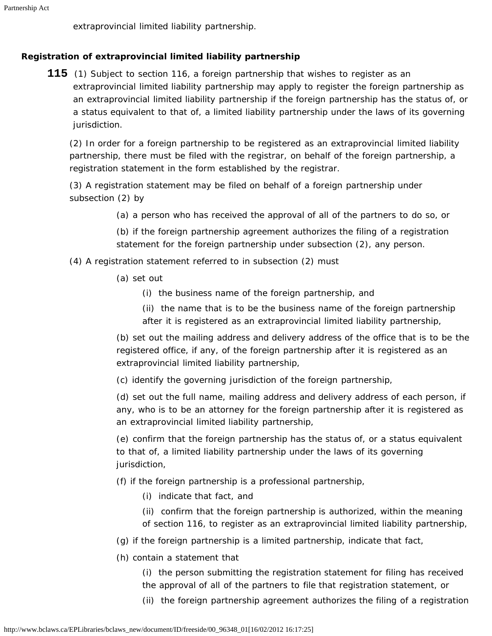extraprovincial limited liability partnership.

## <span id="page-40-0"></span>**Registration of extraprovincial limited liability partnership**

**115** (1) Subject to section 116, a foreign partnership that wishes to register as an extraprovincial limited liability partnership may apply to register the foreign partnership as an extraprovincial limited liability partnership if the foreign partnership has the status of, or a status equivalent to that of, a limited liability partnership under the laws of its governing jurisdiction.

(2) In order for a foreign partnership to be registered as an extraprovincial limited liability partnership, there must be filed with the registrar, on behalf of the foreign partnership, a registration statement in the form established by the registrar.

(3) A registration statement may be filed on behalf of a foreign partnership under subsection (2) by

(a) a person who has received the approval of all of the partners to do so, or

(b) if the foreign partnership agreement authorizes the filing of a registration statement for the foreign partnership under subsection (2), any person.

- (4) A registration statement referred to in subsection (2) must
	- (a) set out
		- (i) the business name of the foreign partnership, and
		- (ii) the name that is to be the business name of the foreign partnership after it is registered as an extraprovincial limited liability partnership,

(b) set out the mailing address and delivery address of the office that is to be the registered office, if any, of the foreign partnership after it is registered as an extraprovincial limited liability partnership,

(c) identify the governing jurisdiction of the foreign partnership,

(d) set out the full name, mailing address and delivery address of each person, if any, who is to be an attorney for the foreign partnership after it is registered as an extraprovincial limited liability partnership,

(e) confirm that the foreign partnership has the status of, or a status equivalent to that of, a limited liability partnership under the laws of its governing jurisdiction,

- (f) if the foreign partnership is a professional partnership,
	- (i) indicate that fact, and

(ii) confirm that the foreign partnership is authorized, within the meaning of section 116, to register as an extraprovincial limited liability partnership,

- (g) if the foreign partnership is a limited partnership, indicate that fact,
- (h) contain a statement that

(i) the person submitting the registration statement for filing has received the approval of all of the partners to file that registration statement, or

(ii) the foreign partnership agreement authorizes the filing of a registration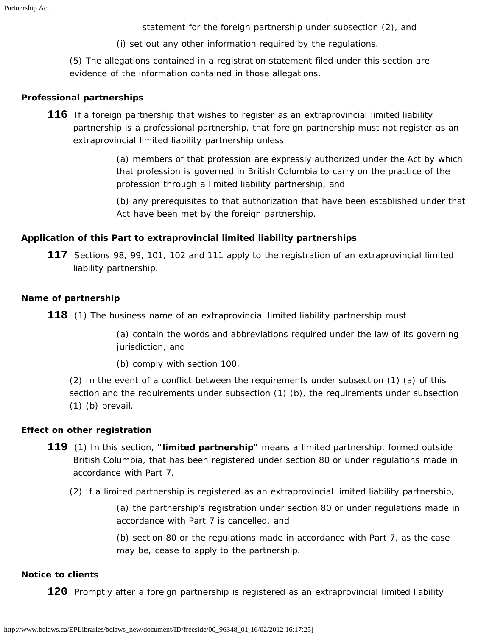statement for the foreign partnership under subsection (2), and

(i) set out any other information required by the regulations.

(5) The allegations contained in a registration statement filed under this section are evidence of the information contained in those allegations.

#### <span id="page-41-0"></span>**Professional partnerships**

**116** If a foreign partnership that wishes to register as an extraprovincial limited liability partnership is a professional partnership, that foreign partnership must not register as an extraprovincial limited liability partnership unless

> (a) members of that profession are expressly authorized under the Act by which that profession is governed in British Columbia to carry on the practice of the profession through a limited liability partnership, and

> (b) any prerequisites to that authorization that have been established under that Act have been met by the foreign partnership.

### <span id="page-41-1"></span>**Application of this Part to extraprovincial limited liability partnerships**

**117** Sections 98, 99, 101, 102 and 111 apply to the registration of an extraprovincial limited liability partnership.

### <span id="page-41-2"></span>**Name of partnership**

**118** (1) The business name of an extraprovincial limited liability partnership must

(a) contain the words and abbreviations required under the law of its governing jurisdiction, and

(b) comply with section 100.

(2) In the event of a conflict between the requirements under subsection (1) (a) of this section and the requirements under subsection (1) (b), the requirements under subsection (1) (b) prevail.

### <span id="page-41-3"></span>**Effect on other registration**

- **119** (1) In this section, **"limited partnership"** means a limited partnership, formed outside British Columbia, that has been registered under section 80 or under regulations made in accordance with Part 7.
	- (2) If a limited partnership is registered as an extraprovincial limited liability partnership,

(a) the partnership's registration under section 80 or under regulations made in accordance with Part 7 is cancelled, and

(b) section 80 or the regulations made in accordance with Part 7, as the case may be, cease to apply to the partnership.

### <span id="page-41-4"></span>**Notice to clients**

**120** Promptly after a foreign partnership is registered as an extraprovincial limited liability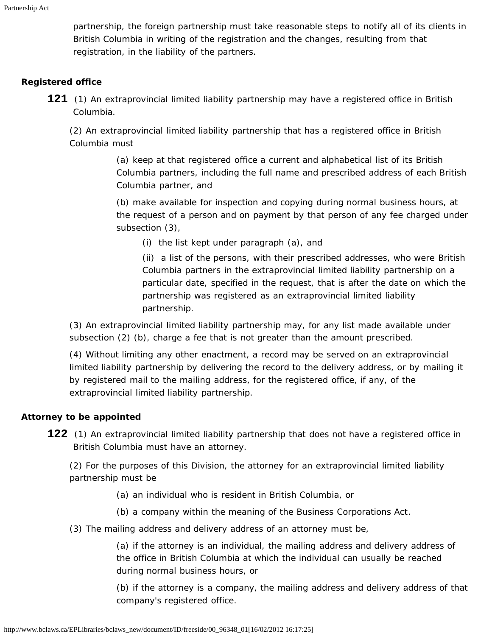partnership, the foreign partnership must take reasonable steps to notify all of its clients in British Columbia in writing of the registration and the changes, resulting from that registration, in the liability of the partners.

## <span id="page-42-0"></span>**Registered office**

**121** (1) An extraprovincial limited liability partnership may have a registered office in British Columbia.

(2) An extraprovincial limited liability partnership that has a registered office in British Columbia must

> (a) keep at that registered office a current and alphabetical list of its British Columbia partners, including the full name and prescribed address of each British Columbia partner, and

> (b) make available for inspection and copying during normal business hours, at the request of a person and on payment by that person of any fee charged under subsection (3),

(i) the list kept under paragraph (a), and

(ii) a list of the persons, with their prescribed addresses, who were British Columbia partners in the extraprovincial limited liability partnership on a particular date, specified in the request, that is after the date on which the partnership was registered as an extraprovincial limited liability partnership.

(3) An extraprovincial limited liability partnership may, for any list made available under subsection (2) (b), charge a fee that is not greater than the amount prescribed.

(4) Without limiting any other enactment, a record may be served on an extraprovincial limited liability partnership by delivering the record to the delivery address, or by mailing it by registered mail to the mailing address, for the registered office, if any, of the extraprovincial limited liability partnership.

### <span id="page-42-2"></span><span id="page-42-1"></span>**Attorney to be appointed**

**122** (1) An extraprovincial limited liability partnership that does not have a registered office in British Columbia must have an attorney.

(2) For the purposes of this Division, the attorney for an extraprovincial limited liability partnership must be

- (a) an individual who is resident in British Columbia, or
- (b) a company within the meaning of the *Business Corporations Act*.
- (3) The mailing address and delivery address of an attorney must be,

(a) if the attorney is an individual, the mailing address and delivery address of the office in British Columbia at which the individual can usually be reached during normal business hours, or

(b) if the attorney is a company, the mailing address and delivery address of that company's registered office.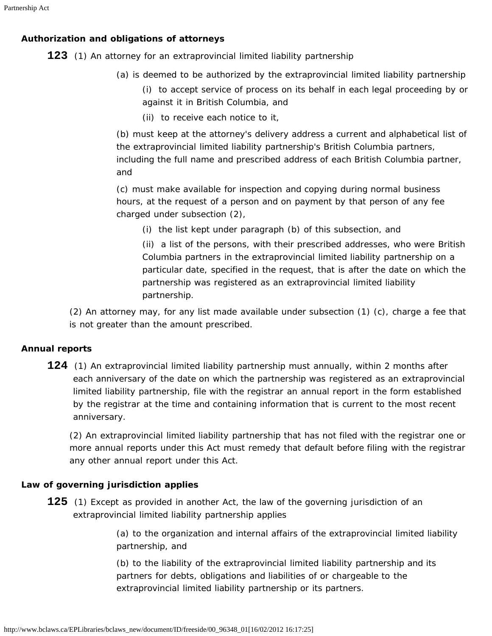## **Authorization and obligations of attorneys**

**123** (1) An attorney for an extraprovincial limited liability partnership

(a) is deemed to be authorized by the extraprovincial limited liability partnership

(i) to accept service of process on its behalf in each legal proceeding by or against it in British Columbia, and

(ii) to receive each notice to it,

(b) must keep at the attorney's delivery address a current and alphabetical list of the extraprovincial limited liability partnership's British Columbia partners, including the full name and prescribed address of each British Columbia partner, and

(c) must make available for inspection and copying during normal business hours, at the request of a person and on payment by that person of any fee charged under subsection (2),

(i) the list kept under paragraph (b) of this subsection, and

(ii) a list of the persons, with their prescribed addresses, who were British Columbia partners in the extraprovincial limited liability partnership on a particular date, specified in the request, that is after the date on which the partnership was registered as an extraprovincial limited liability partnership.

(2) An attorney may, for any list made available under subsection (1) (c), charge a fee that is not greater than the amount prescribed.

## <span id="page-43-0"></span>**Annual reports**

**124** (1) An extraprovincial limited liability partnership must annually, within 2 months after each anniversary of the date on which the partnership was registered as an extraprovincial limited liability partnership, file with the registrar an annual report in the form established by the registrar at the time and containing information that is current to the most recent anniversary.

(2) An extraprovincial limited liability partnership that has not filed with the registrar one or more annual reports under this Act must remedy that default before filing with the registrar any other annual report under this Act.

### <span id="page-43-1"></span>**Law of governing jurisdiction applies**

**125** (1) Except as provided in another Act, the law of the governing jurisdiction of an extraprovincial limited liability partnership applies

> (a) to the organization and internal affairs of the extraprovincial limited liability partnership, and

(b) to the liability of the extraprovincial limited liability partnership and its partners for debts, obligations and liabilities of or chargeable to the extraprovincial limited liability partnership or its partners.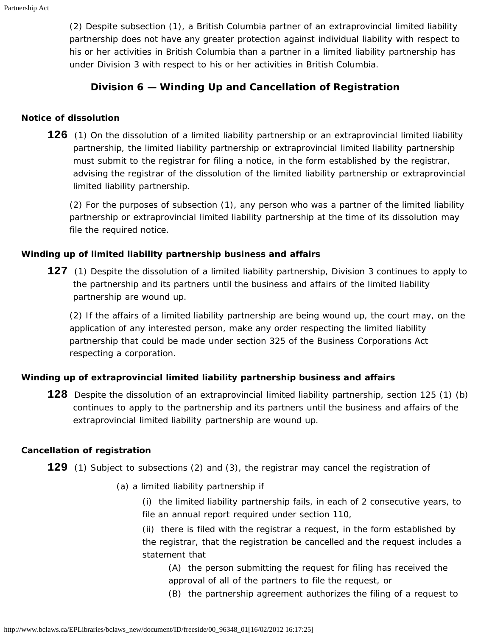(2) Despite subsection (1), a British Columbia partner of an extraprovincial limited liability partnership does not have any greater protection against individual liability with respect to his or her activities in British Columbia than a partner in a limited liability partnership has under Division 3 with respect to his or her activities in British Columbia.

## **Division 6 — Winding Up and Cancellation of Registration**

#### <span id="page-44-1"></span><span id="page-44-0"></span>**Notice of dissolution**

**126** (1) On the dissolution of a limited liability partnership or an extraprovincial limited liability partnership, the limited liability partnership or extraprovincial limited liability partnership must submit to the registrar for filing a notice, in the form established by the registrar, advising the registrar of the dissolution of the limited liability partnership or extraprovincial limited liability partnership.

(2) For the purposes of subsection (1), any person who was a partner of the limited liability partnership or extraprovincial limited liability partnership at the time of its dissolution may file the required notice.

### <span id="page-44-2"></span>**Winding up of limited liability partnership business and affairs**

**127** (1) Despite the dissolution of a limited liability partnership, Division 3 continues to apply to the partnership and its partners until the business and affairs of the limited liability partnership are wound up.

(2) If the affairs of a limited liability partnership are being wound up, the court may, on the application of any interested person, make any order respecting the limited liability partnership that could be made under section 325 of the *Business Corporations Act* respecting a corporation.

### <span id="page-44-3"></span>**Winding up of extraprovincial limited liability partnership business and affairs**

**128** Despite the dissolution of an extraprovincial limited liability partnership, section 125 (1) (b) continues to apply to the partnership and its partners until the business and affairs of the extraprovincial limited liability partnership are wound up.

### <span id="page-44-4"></span>**Cancellation of registration**

**129** (1) Subject to subsections (2) and (3), the registrar may cancel the registration of

(a) a limited liability partnership if

(i) the limited liability partnership fails, in each of 2 consecutive years, to file an annual report required under section 110,

(ii) there is filed with the registrar a request, in the form established by the registrar, that the registration be cancelled and the request includes a statement that

(A) the person submitting the request for filing has received the approval of all of the partners to file the request, or

(B) the partnership agreement authorizes the filing of a request to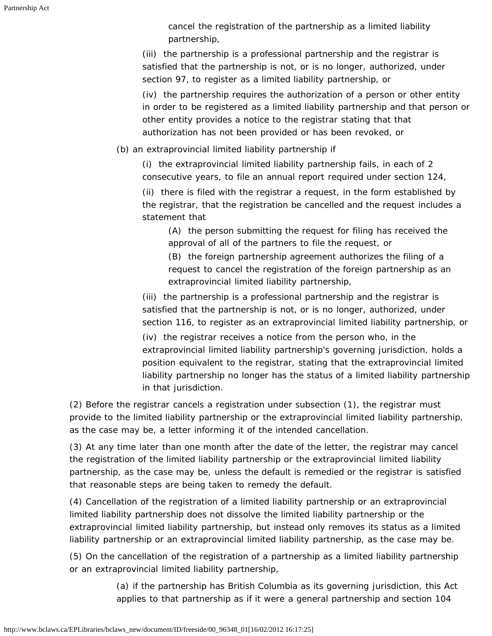cancel the registration of the partnership as a limited liability partnership,

(iii) the partnership is a professional partnership and the registrar is satisfied that the partnership is not, or is no longer, authorized, under section 97, to register as a limited liability partnership, or

(iv) the partnership requires the authorization of a person or other entity in order to be registered as a limited liability partnership and that person or other entity provides a notice to the registrar stating that that authorization has not been provided or has been revoked, or

(b) an extraprovincial limited liability partnership if

(i) the extraprovincial limited liability partnership fails, in each of 2 consecutive years, to file an annual report required under section 124,

(ii) there is filed with the registrar a request, in the form established by the registrar, that the registration be cancelled and the request includes a statement that

(A) the person submitting the request for filing has received the approval of all of the partners to file the request, or

(B) the foreign partnership agreement authorizes the filing of a request to cancel the registration of the foreign partnership as an extraprovincial limited liability partnership,

(iii) the partnership is a professional partnership and the registrar is satisfied that the partnership is not, or is no longer, authorized, under section 116, to register as an extraprovincial limited liability partnership, or

(iv) the registrar receives a notice from the person who, in the extraprovincial limited liability partnership's governing jurisdiction, holds a position equivalent to the registrar, stating that the extraprovincial limited liability partnership no longer has the status of a limited liability partnership in that jurisdiction.

(2) Before the registrar cancels a registration under subsection (1), the registrar must provide to the limited liability partnership or the extraprovincial limited liability partnership, as the case may be, a letter informing it of the intended cancellation.

(3) At any time later than one month after the date of the letter, the registrar may cancel the registration of the limited liability partnership or the extraprovincial limited liability partnership, as the case may be, unless the default is remedied or the registrar is satisfied that reasonable steps are being taken to remedy the default.

(4) Cancellation of the registration of a limited liability partnership or an extraprovincial limited liability partnership does not dissolve the limited liability partnership or the extraprovincial limited liability partnership, but instead only removes its status as a limited liability partnership or an extraprovincial limited liability partnership, as the case may be.

(5) On the cancellation of the registration of a partnership as a limited liability partnership or an extraprovincial limited liability partnership,

> (a) if the partnership has British Columbia as its governing jurisdiction, this Act applies to that partnership as if it were a general partnership and section 104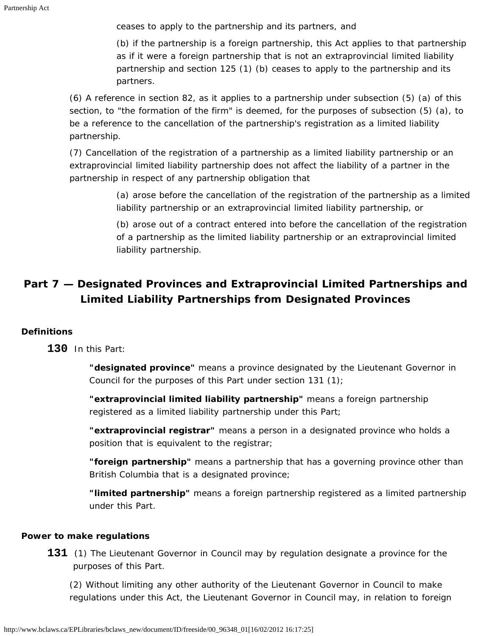ceases to apply to the partnership and its partners, and

(b) if the partnership is a foreign partnership, this Act applies to that partnership as if it were a foreign partnership that is not an extraprovincial limited liability partnership and section 125 (1) (b) ceases to apply to the partnership and its partners.

(6) A reference in section 82, as it applies to a partnership under subsection (5) (a) of this section, to "the formation of the firm" is deemed, for the purposes of subsection (5) (a), to be a reference to the cancellation of the partnership's registration as a limited liability partnership.

(7) Cancellation of the registration of a partnership as a limited liability partnership or an extraprovincial limited liability partnership does not affect the liability of a partner in the partnership in respect of any partnership obligation that

> (a) arose before the cancellation of the registration of the partnership as a limited liability partnership or an extraprovincial limited liability partnership, or

> (b) arose out of a contract entered into before the cancellation of the registration of a partnership as the limited liability partnership or an extraprovincial limited liability partnership.

# <span id="page-46-0"></span>**Part 7 — Designated Provinces and Extraprovincial Limited Partnerships and Limited Liability Partnerships from Designated Provinces**

## <span id="page-46-1"></span>**Definitions**

**130** In this Part:

**"designated province"** means a province designated by the Lieutenant Governor in Council for the purposes of this Part under section 131 (1);

**"extraprovincial limited liability partnership"** means a foreign partnership registered as a limited liability partnership under this Part;

**"extraprovincial registrar"** means a person in a designated province who holds a position that is equivalent to the registrar;

**"foreign partnership"** means a partnership that has a governing province other than British Columbia that is a designated province;

**"limited partnership"** means a foreign partnership registered as a limited partnership under this Part.

### <span id="page-46-2"></span>**Power to make regulations**

**131** (1) The Lieutenant Governor in Council may by regulation designate a province for the purposes of this Part.

(2) Without limiting any other authority of the Lieutenant Governor in Council to make regulations under this Act, the Lieutenant Governor in Council may, in relation to foreign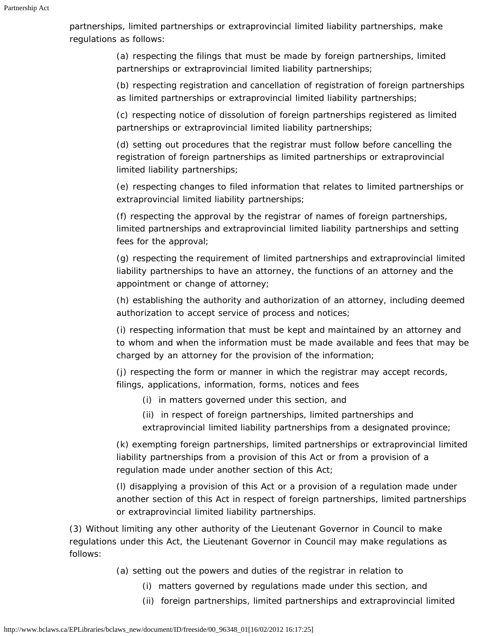partnerships, limited partnerships or extraprovincial limited liability partnerships, make regulations as follows:

> (a) respecting the filings that must be made by foreign partnerships, limited partnerships or extraprovincial limited liability partnerships;

(b) respecting registration and cancellation of registration of foreign partnerships as limited partnerships or extraprovincial limited liability partnerships;

(c) respecting notice of dissolution of foreign partnerships registered as limited partnerships or extraprovincial limited liability partnerships;

(d) setting out procedures that the registrar must follow before cancelling the registration of foreign partnerships as limited partnerships or extraprovincial limited liability partnerships;

(e) respecting changes to filed information that relates to limited partnerships or extraprovincial limited liability partnerships;

(f) respecting the approval by the registrar of names of foreign partnerships, limited partnerships and extraprovincial limited liability partnerships and setting fees for the approval;

(g) respecting the requirement of limited partnerships and extraprovincial limited liability partnerships to have an attorney, the functions of an attorney and the appointment or change of attorney;

(h) establishing the authority and authorization of an attorney, including deemed authorization to accept service of process and notices;

(i) respecting information that must be kept and maintained by an attorney and to whom and when the information must be made available and fees that may be charged by an attorney for the provision of the information;

(j) respecting the form or manner in which the registrar may accept records, filings, applications, information, forms, notices and fees

- (i) in matters governed under this section, and
- (ii) in respect of foreign partnerships, limited partnerships and extraprovincial limited liability partnerships from a designated province;

(k) exempting foreign partnerships, limited partnerships or extraprovincial limited liability partnerships from a provision of this Act or from a provision of a regulation made under another section of this Act;

(l) disapplying a provision of this Act or a provision of a regulation made under another section of this Act in respect of foreign partnerships, limited partnerships or extraprovincial limited liability partnerships.

(3) Without limiting any other authority of the Lieutenant Governor in Council to make regulations under this Act, the Lieutenant Governor in Council may make regulations as follows:

- (a) setting out the powers and duties of the registrar in relation to
	- (i) matters governed by regulations made under this section, and
	- (ii) foreign partnerships, limited partnerships and extraprovincial limited